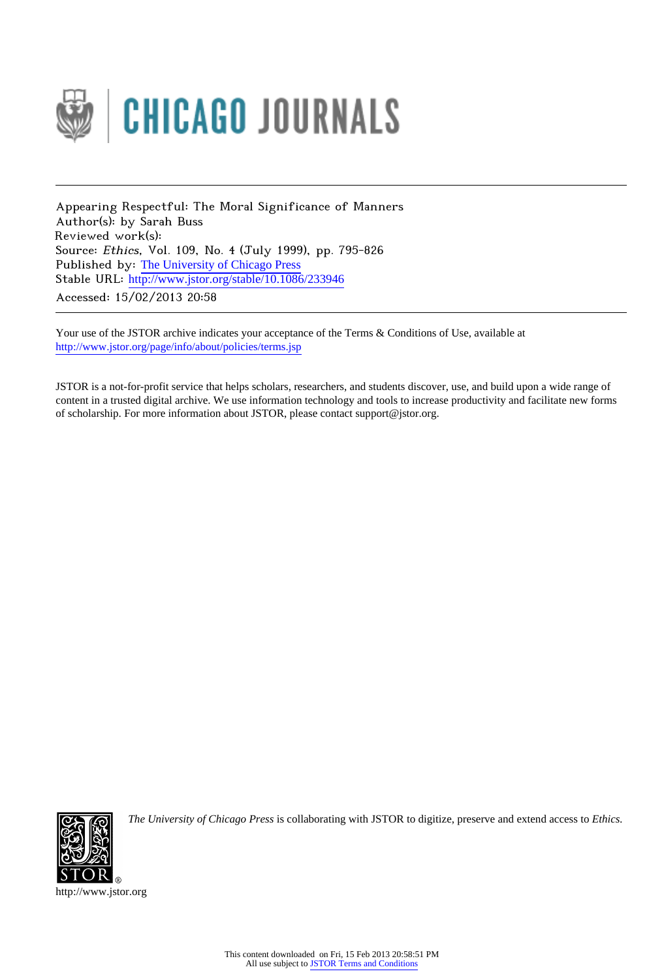

Appearing Respectful: The Moral Significance of Manners Author(s): by Sarah Buss Reviewed work(s): Source: Ethics, Vol. 109, No. 4 (July 1999), pp. 795-826 Published by: [The University of Chicago Press](http://www.jstor.org/action/showPublisher?publisherCode=ucpress) Stable URL: http://www.jstor.org/stable/10.1086/233946 Accessed: 15/02/2013 20:58

Your use of the JSTOR archive indicates your acceptance of the Terms & Conditions of Use, available at <http://www.jstor.org/page/info/about/policies/terms.jsp>

JSTOR is a not-for-profit service that helps scholars, researchers, and students discover, use, and build upon a wide range of content in a trusted digital archive. We use information technology and tools to increase productivity and facilitate new forms of scholarship. For more information about JSTOR, please contact support@jstor.org.



*The University of Chicago Press* is collaborating with JSTOR to digitize, preserve and extend access to *Ethics.*

http://www.jstor.org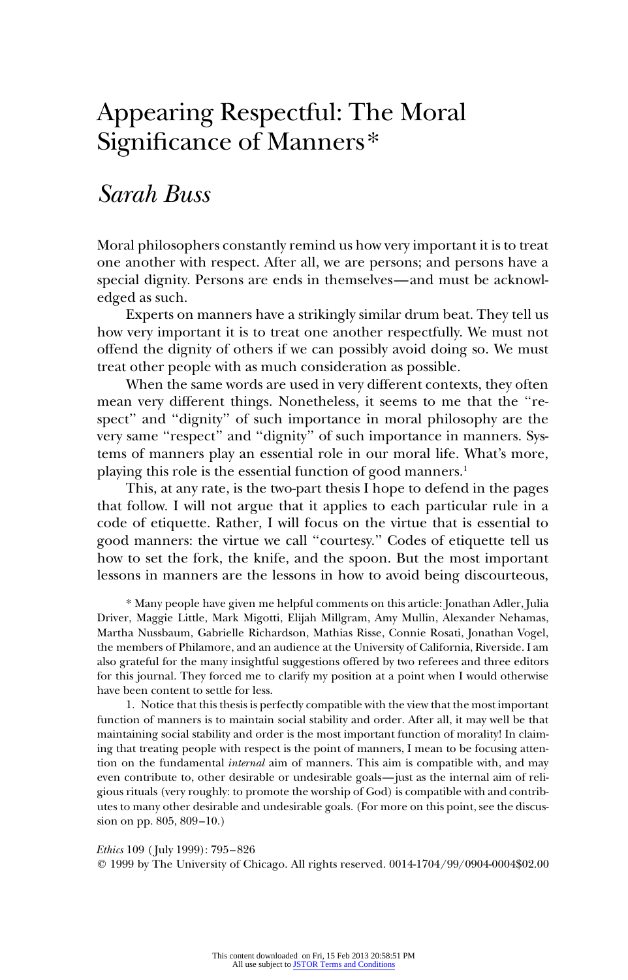# Appearing Respectful: The Moral Significance of Manners\*

## *Sarah Buss*

Moral philosophers constantly remind us how very important it is to treat one another with respect. After all, we are persons; and persons have a special dignity. Persons are ends in themselves—and must be acknowledged as such.

Experts on manners have a strikingly similar drum beat. They tell us how very important it is to treat one another respectfully. We must not offend the dignity of others if we can possibly avoid doing so. We must treat other people with as much consideration as possible.

When the same words are used in very different contexts, they often mean very different things. Nonetheless, it seems to me that the ''respect'' and ''dignity'' of such importance in moral philosophy are the very same ''respect'' and ''dignity'' of such importance in manners. Systems of manners play an essential role in our moral life. What's more, playing this role is the essential function of good manners.<sup>1</sup>

This, at any rate, is the two-part thesis I hope to defend in the pages that follow. I will not argue that it applies to each particular rule in a code of etiquette. Rather, I will focus on the virtue that is essential to good manners: the virtue we call ''courtesy.'' Codes of etiquette tell us how to set the fork, the knife, and the spoon. But the most important lessons in manners are the lessons in how to avoid being discourteous,

\* Many people have given me helpful comments on this article: Jonathan Adler, Julia Driver, Maggie Little, Mark Migotti, Elijah Millgram, Amy Mullin, Alexander Nehamas, Martha Nussbaum, Gabrielle Richardson, Mathias Risse, Connie Rosati, Jonathan Vogel, the members of Philamore, and an audience at the University of California, Riverside. I am also grateful for the many insightful suggestions offered by two referees and three editors for this journal. They forced me to clarify my position at a point when I would otherwise have been content to settle for less.

1. Notice that this thesis is perfectly compatible with the view that the most important function of manners is to maintain social stability and order. After all, it may well be that maintaining social stability and order is the most important function of morality! In claiming that treating people with respect is the point of manners, I mean to be focusing attention on the fundamental *internal* aim of manners. This aim is compatible with, and may even contribute to, other desirable or undesirable goals—just as the internal aim of religious rituals (very roughly: to promote the worship of God) is compatible with and contributes to many other desirable and undesirable goals. (For more on this point, see the discussion on pp. 805, 809–10.)

*Ethics* 109 ( July 1999): 795–826  $Q$  1999 by The University of Chicago. All rights reserved.  $0.014-1704/99/0904-0004\$02.00$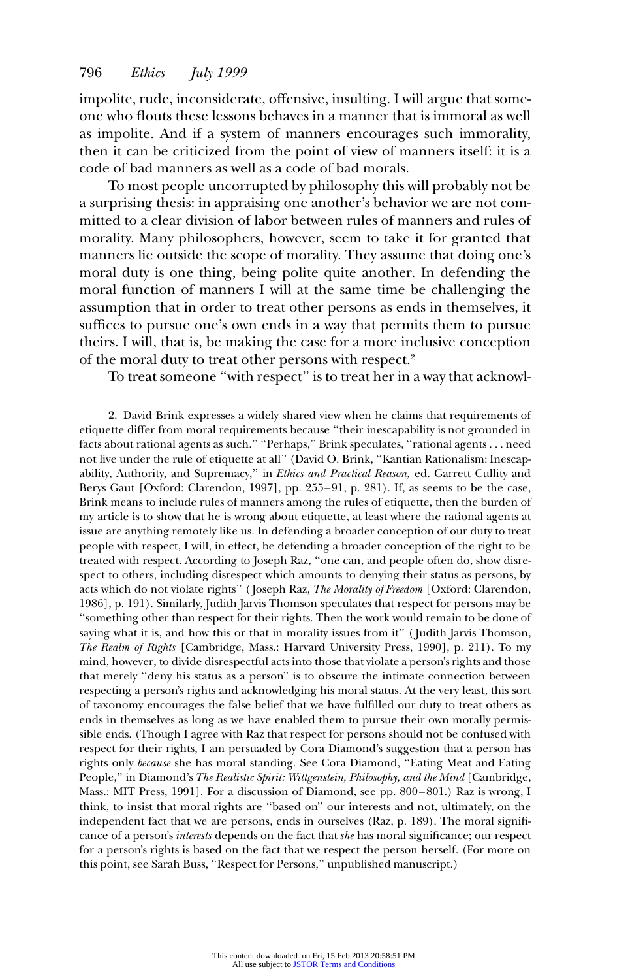impolite, rude, inconsiderate, offensive, insulting. I will argue that someone who flouts these lessons behaves in a manner that is immoral as well as impolite. And if a system of manners encourages such immorality, then it can be criticized from the point of view of manners itself: it is a code of bad manners as well as a code of bad morals.

To most people uncorrupted by philosophy this will probably not be a surprising thesis: in appraising one another's behavior we are not committed to a clear division of labor between rules of manners and rules of morality. Many philosophers, however, seem to take it for granted that manners lie outside the scope of morality. They assume that doing one's moral duty is one thing, being polite quite another. In defending the moral function of manners I will at the same time be challenging the assumption that in order to treat other persons as ends in themselves, it suffices to pursue one's own ends in a way that permits them to pursue theirs. I will, that is, be making the case for a more inclusive conception of the moral duty to treat other persons with respect.2

To treat someone ''with respect'' is to treat her in a way that acknowl-

2. David Brink expresses a widely shared view when he claims that requirements of etiquette differ from moral requirements because ''their inescapability is not grounded in facts about rational agents as such." "Perhaps," Brink speculates, "rational agents . . . need not live under the rule of etiquette at all'' (David O. Brink, ''Kantian Rationalism: Inescapability, Authority, and Supremacy,'' in *Ethics and Practical Reason,* ed. Garrett Cullity and Berys Gaut [Oxford: Clarendon, 1997], pp. 255–91, p. 281). If, as seems to be the case, Brink means to include rules of manners among the rules of etiquette, then the burden of my article is to show that he is wrong about etiquette, at least where the rational agents at issue are anything remotely like us. In defending a broader conception of our duty to treat people with respect, I will, in effect, be defending a broader conception of the right to be treated with respect. According to Joseph Raz, ''one can, and people often do, show disrespect to others, including disrespect which amounts to denying their status as persons, by acts which do not violate rights'' ( Joseph Raz, *The Morality of Freedom* [Oxford: Clarendon, 1986], p. 191). Similarly, Judith Jarvis Thomson speculates that respect for persons may be ''something other than respect for their rights. Then the work would remain to be done of saying what it is, and how this or that in morality issues from it" (Judith Jarvis Thomson, *The Realm of Rights* [Cambridge, Mass.: Harvard University Press, 1990], p. 211). To my mind, however, to divide disrespectful acts into those that violate a person's rights and those that merely ''deny his status as a person'' is to obscure the intimate connection between respecting a person's rights and acknowledging his moral status. At the very least, this sort of taxonomy encourages the false belief that we have fulfilled our duty to treat others as ends in themselves as long as we have enabled them to pursue their own morally permissible ends. (Though I agree with Raz that respect for persons should not be confused with respect for their rights, I am persuaded by Cora Diamond's suggestion that a person has rights only *because* she has moral standing. See Cora Diamond, ''Eating Meat and Eating People,'' in Diamond's *The Realistic Spirit: Wittgenstein, Philosophy, and the Mind* [Cambridge, Mass.: MIT Press, 1991]. For a discussion of Diamond, see pp. 800–801.) Raz is wrong, I think, to insist that moral rights are ''based on'' our interests and not, ultimately, on the independent fact that we are persons, ends in ourselves (Raz, p. 189). The moral significance of a person's *interests* depends on the fact that *she* has moral significance; our respect for a person's rights is based on the fact that we respect the person herself. (For more on this point, see Sarah Buss, ''Respect for Persons,'' unpublished manuscript.)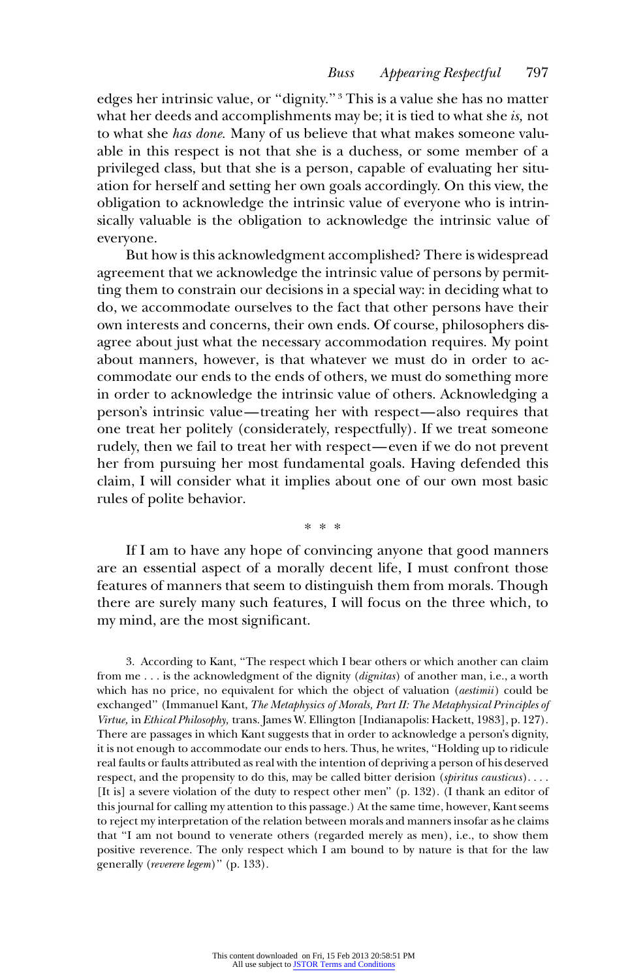edges her intrinsic value, or "dignity."<sup>3</sup> This is a value she has no matter what her deeds and accomplishments may be; it is tied to what she *is,* not to what she *has done.* Many of us believe that what makes someone valuable in this respect is not that she is a duchess, or some member of a privileged class, but that she is a person, capable of evaluating her situation for herself and setting her own goals accordingly. On this view, the obligation to acknowledge the intrinsic value of everyone who is intrinsically valuable is the obligation to acknowledge the intrinsic value of everyone.

But how is this acknowledgment accomplished? There is widespread agreement that we acknowledge the intrinsic value of persons by permitting them to constrain our decisions in a special way: in deciding what to do, we accommodate ourselves to the fact that other persons have their own interests and concerns, their own ends. Of course, philosophers disagree about just what the necessary accommodation requires. My point about manners, however, is that whatever we must do in order to accommodate our ends to the ends of others, we must do something more in order to acknowledge the intrinsic value of others. Acknowledging a person's intrinsic value—treating her with respect—also requires that one treat her politely (considerately, respectfully). If we treat someone rudely, then we fail to treat her with respect—even if we do not prevent her from pursuing her most fundamental goals. Having defended this claim, I will consider what it implies about one of our own most basic rules of polite behavior.

\*\*\*

If I am to have any hope of convincing anyone that good manners are an essential aspect of a morally decent life, I must confront those features of manners that seem to distinguish them from morals. Though there are surely many such features, I will focus on the three which, to my mind, are the most significant.

3. According to Kant, ''The respect which I bear others or which another can claim from me . . . is the acknowledgment of the dignity (*dignitas*) of another man, i.e., a worth which has no price, no equivalent for which the object of valuation (*aestimii*) could be exchanged'' (Immanuel Kant, *The Metaphysics of Morals, Part II: The Metaphysical Principles of Virtue,* in *Ethical Philosophy,* trans. James W. Ellington [Indianapolis: Hackett, 1983], p. 127). There are passages in which Kant suggests that in order to acknowledge a person's dignity, it is not enough to accommodate our ends to hers. Thus, he writes, ''Holding up to ridicule real faults or faults attributed as real with the intention of depriving a person of his deserved respect, and the propensity to do this, may be called bitter derision (*spiritus causticus*). . . . [It is] a severe violation of the duty to respect other men'' (p. 132). (I thank an editor of this journal for calling my attention to this passage.) At the same time, however, Kant seems to reject my interpretation of the relation between morals and manners insofar as he claims that ''I am not bound to venerate others (regarded merely as men), i.e., to show them positive reverence. The only respect which I am bound to by nature is that for the law generally (*reverere legem*)'' (p. 133).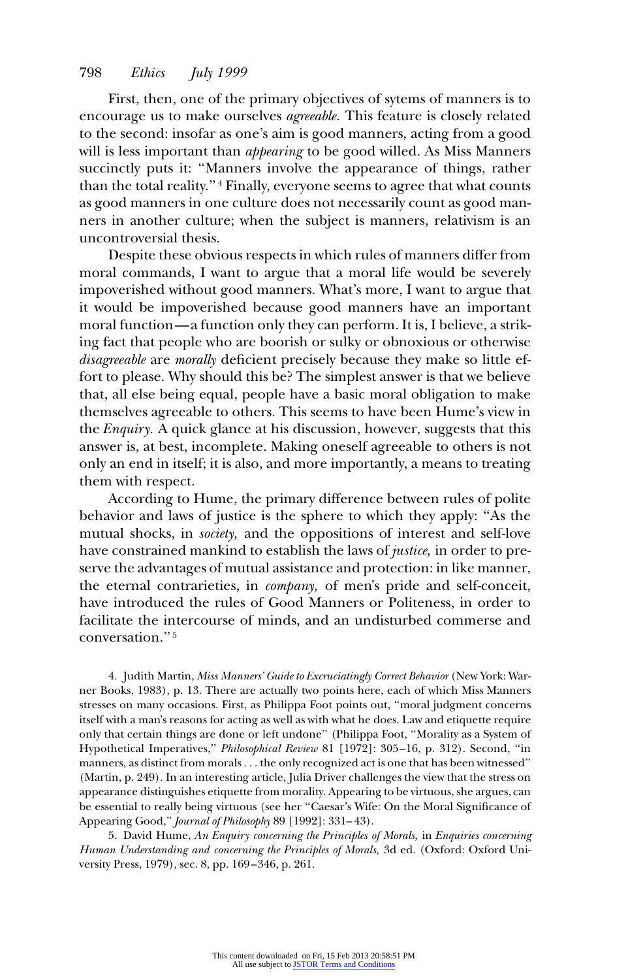First, then, one of the primary objectives of sytems of manners is to encourage us to make ourselves *agreeable.* This feature is closely related to the second: insofar as one's aim is good manners, acting from a good will is less important than *appearing* to be good willed. As Miss Manners succinctly puts it: ''Manners involve the appearance of things, rather than the total reality."<sup>4</sup> Finally, everyone seems to agree that what counts as good manners in one culture does not necessarily count as good manners in another culture; when the subject is manners, relativism is an uncontroversial thesis.

Despite these obvious respects in which rules of manners differ from moral commands, I want to argue that a moral life would be severely impoverished without good manners. What's more, I want to argue that it would be impoverished because good manners have an important moral function—a function only they can perform. It is, I believe, a striking fact that people who are boorish or sulky or obnoxious or otherwise *disagreeable* are *morally* deficient precisely because they make so little effort to please. Why should this be? The simplest answer is that we believe that, all else being equal, people have a basic moral obligation to make themselves agreeable to others. This seems to have been Hume's view in the *Enquiry.* A quick glance at his discussion, however, suggests that this answer is, at best, incomplete. Making oneself agreeable to others is not only an end in itself; it is also, and more importantly, a means to treating them with respect.

According to Hume, the primary difference between rules of polite behavior and laws of justice is the sphere to which they apply: ''As the mutual shocks, in *society,* and the oppositions of interest and self-love have constrained mankind to establish the laws of *justice,* in order to preserve the advantages of mutual assistance and protection: in like manner, the eternal contrarieties, in *company,* of men's pride and self-conceit, have introduced the rules of Good Manners or Politeness, in order to facilitate the intercourse of minds, and an undisturbed commerse and conversation<sup>"5</sup>

4. Judith Martin, *Miss Manners' Guide to Excruciatingly Correct Behavior* (New York: Warner Books, 1983), p. 13. There are actually two points here, each of which Miss Manners stresses on many occasions. First, as Philippa Foot points out, ''moral judgment concerns itself with a man's reasons for acting as well as with what he does. Law and etiquette require only that certain things are done or left undone'' (Philippa Foot, ''Morality as a System of Hypothetical Imperatives,'' *Philosophical Review* 81 [1972]: 305–16, p. 312). Second, ''in manners, as distinct from morals . . . the only recognized act is one that has been witnessed'' (Martin, p. 249). In an interesting article, Julia Driver challenges the view that the stress on appearance distinguishes etiquette from morality. Appearing to be virtuous, she argues, can be essential to really being virtuous (see her ''Caesar's Wife: On the Moral Significance of Appearing Good,'' *Journal of Philosophy* 89 [1992]: 331– 43).

5. David Hume, *An Enquiry concerning the Principles of Morals,* in *Enquiries concerning Human Understanding and concerning the Principles of Morals,* 3d ed. (Oxford: Oxford University Press, 1979), sec. 8, pp. 169–346, p. 261.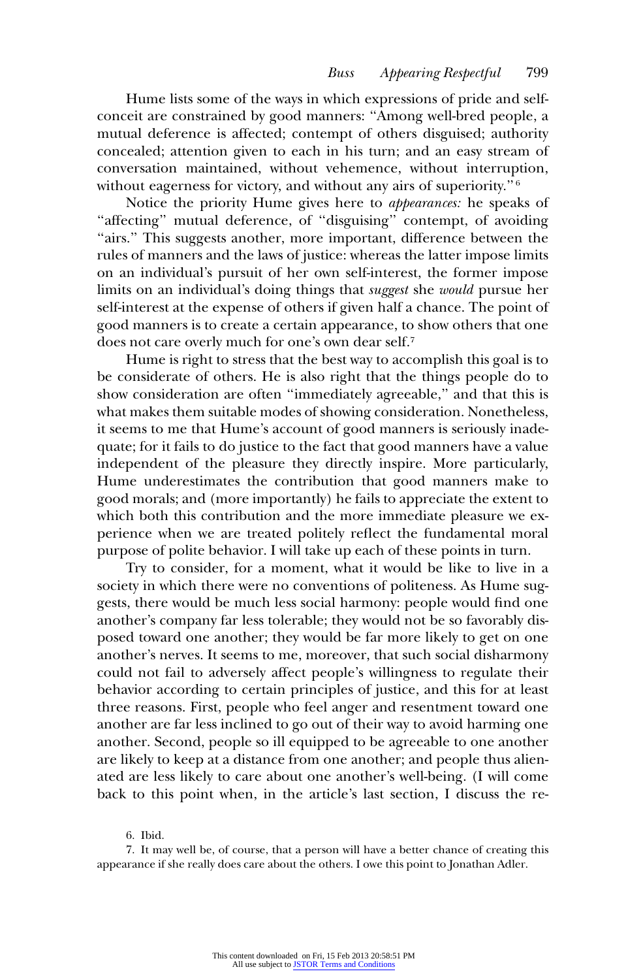Hume lists some of the ways in which expressions of pride and selfconceit are constrained by good manners: ''Among well-bred people, a mutual deference is affected; contempt of others disguised; authority concealed; attention given to each in his turn; and an easy stream of conversation maintained, without vehemence, without interruption, without eagerness for victory, and without any airs of superiority."<sup>6</sup>

Notice the priority Hume gives here to *appearances:* he speaks of ''affecting'' mutual deference, of ''disguising'' contempt, of avoiding "airs." This suggests another, more important, difference between the rules of manners and the laws of justice: whereas the latter impose limits on an individual's pursuit of her own self-interest, the former impose limits on an individual's doing things that *suggest* she *would* pursue her self-interest at the expense of others if given half a chance. The point of good manners is to create a certain appearance, to show others that one does not care overly much for one's own dear self.7

Hume is right to stress that the best way to accomplish this goal is to be considerate of others. He is also right that the things people do to show consideration are often ''immediately agreeable,'' and that this is what makes them suitable modes of showing consideration. Nonetheless, it seems to me that Hume's account of good manners is seriously inadequate; for it fails to do justice to the fact that good manners have a value independent of the pleasure they directly inspire. More particularly, Hume underestimates the contribution that good manners make to good morals; and (more importantly) he fails to appreciate the extent to which both this contribution and the more immediate pleasure we experience when we are treated politely reflect the fundamental moral purpose of polite behavior. I will take up each of these points in turn.

Try to consider, for a moment, what it would be like to live in a society in which there were no conventions of politeness. As Hume suggests, there would be much less social harmony: people would find one another's company far less tolerable; they would not be so favorably disposed toward one another; they would be far more likely to get on one another's nerves. It seems to me, moreover, that such social disharmony could not fail to adversely affect people's willingness to regulate their behavior according to certain principles of justice, and this for at least three reasons. First, people who feel anger and resentment toward one another are far less inclined to go out of their way to avoid harming one another. Second, people so ill equipped to be agreeable to one another are likely to keep at a distance from one another; and people thus alienated are less likely to care about one another's well-being. (I will come back to this point when, in the article's last section, I discuss the re-

7. It may well be, of course, that a person will have a better chance of creating this appearance if she really does care about the others. I owe this point to Jonathan Adler.

<sup>6.</sup> Ibid.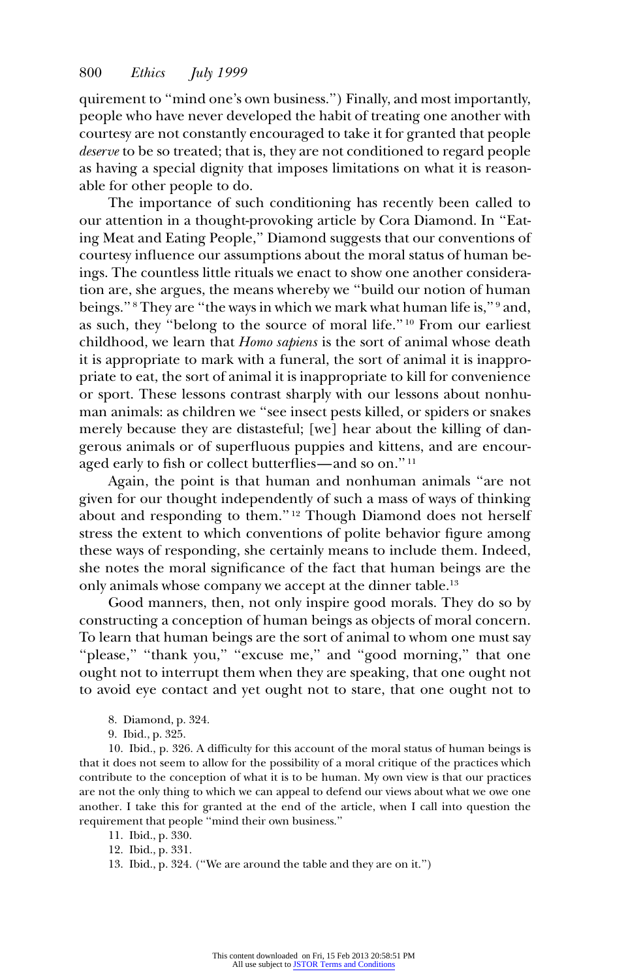quirement to ''mind one's own business.'') Finally, and most importantly, people who have never developed the habit of treating one another with courtesy are not constantly encouraged to take it for granted that people *deserve* to be so treated; that is, they are not conditioned to regard people as having a special dignity that imposes limitations on what it is reasonable for other people to do.

The importance of such conditioning has recently been called to our attention in a thought-provoking article by Cora Diamond. In ''Eating Meat and Eating People,'' Diamond suggests that our conventions of courtesy influence our assumptions about the moral status of human beings. The countless little rituals we enact to show one another consideration are, she argues, the means whereby we ''build our notion of human beings."<sup>8</sup> They are "the ways in which we mark what human life is,"<sup>9</sup> and, as such, they ''belong to the source of moral life.'' <sup>10</sup> From our earliest childhood, we learn that *Homo sapiens* is the sort of animal whose death it is appropriate to mark with a funeral, the sort of animal it is inappropriate to eat, the sort of animal it is inappropriate to kill for convenience or sport. These lessons contrast sharply with our lessons about nonhuman animals: as children we ''see insect pests killed, or spiders or snakes merely because they are distasteful; [we] hear about the killing of dangerous animals or of superfluous puppies and kittens, and are encouraged early to fish or collect butterflies—and so on."<sup>11</sup>

Again, the point is that human and nonhuman animals ''are not given for our thought independently of such a mass of ways of thinking about and responding to them."<sup>12</sup> Though Diamond does not herself stress the extent to which conventions of polite behavior figure among these ways of responding, she certainly means to include them. Indeed, she notes the moral significance of the fact that human beings are the only animals whose company we accept at the dinner table.<sup>13</sup>

Good manners, then, not only inspire good morals. They do so by constructing a conception of human beings as objects of moral concern. To learn that human beings are the sort of animal to whom one must say "please," "thank you," "excuse me," and "good morning," that one ought not to interrupt them when they are speaking, that one ought not to avoid eye contact and yet ought not to stare, that one ought not to

- 8. Diamond, p. 324.
- 9. Ibid., p. 325.

10. Ibid., p. 326. A difficulty for this account of the moral status of human beings is that it does not seem to allow for the possibility of a moral critique of the practices which contribute to the conception of what it is to be human. My own view is that our practices are not the only thing to which we can appeal to defend our views about what we owe one another. I take this for granted at the end of the article, when I call into question the requirement that people ''mind their own business.''

- 11. Ibid., p. 330.
- 12. Ibid., p. 331.
- 13. Ibid., p. 324. (''We are around the table and they are on it.'')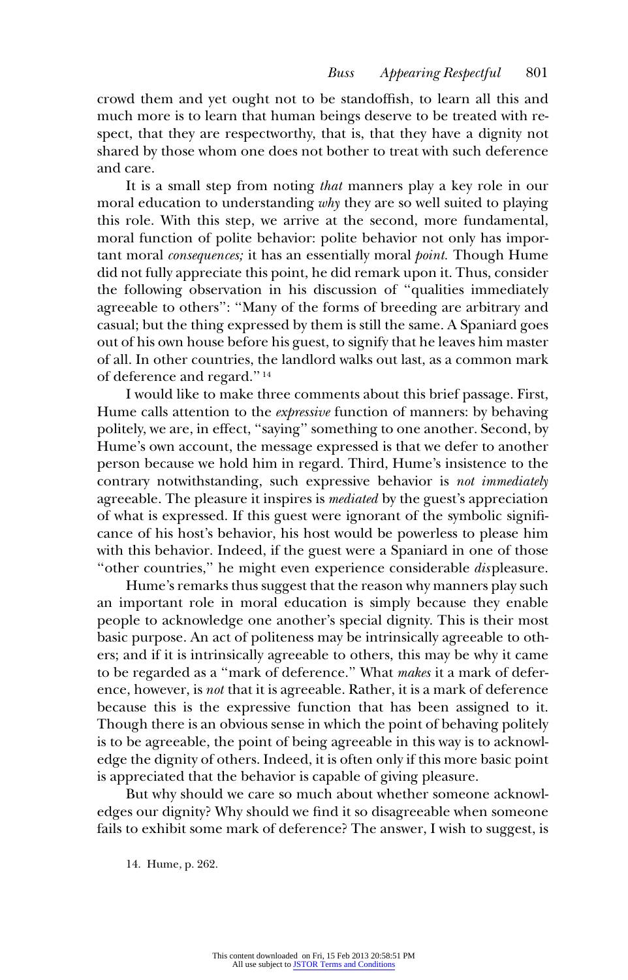crowd them and yet ought not to be standoffish, to learn all this and much more is to learn that human beings deserve to be treated with respect, that they are respectworthy, that is, that they have a dignity not shared by those whom one does not bother to treat with such deference and care.

It is a small step from noting *that* manners play a key role in our moral education to understanding *why* they are so well suited to playing this role. With this step, we arrive at the second, more fundamental, moral function of polite behavior: polite behavior not only has important moral *consequences;* it has an essentially moral *point.* Though Hume did not fully appreciate this point, he did remark upon it. Thus, consider the following observation in his discussion of ''qualities immediately agreeable to others'': ''Many of the forms of breeding are arbitrary and casual; but the thing expressed by them is still the same. A Spaniard goes out of his own house before his guest, to signify that he leaves him master of all. In other countries, the landlord walks out last, as a common mark of deference and regard.'' <sup>14</sup>

I would like to make three comments about this brief passage. First, Hume calls attention to the *expressive* function of manners: by behaving politely, we are, in effect, ''saying'' something to one another. Second, by Hume's own account, the message expressed is that we defer to another person because we hold him in regard. Third, Hume's insistence to the contrary notwithstanding, such expressive behavior is *not immediately* agreeable. The pleasure it inspires is *mediated* by the guest's appreciation of what is expressed. If this guest were ignorant of the symbolic significance of his host's behavior, his host would be powerless to please him with this behavior. Indeed, if the guest were a Spaniard in one of those ''other countries,'' he might even experience considerable *dis*pleasure.

Hume's remarks thus suggest that the reason why manners play such an important role in moral education is simply because they enable people to acknowledge one another's special dignity. This is their most basic purpose. An act of politeness may be intrinsically agreeable to others; and if it is intrinsically agreeable to others, this may be why it came to be regarded as a ''mark of deference.'' What *makes* it a mark of deference, however, is *not* that it is agreeable. Rather, it is a mark of deference because this is the expressive function that has been assigned to it. Though there is an obvious sense in which the point of behaving politely is to be agreeable, the point of being agreeable in this way is to acknowledge the dignity of others. Indeed, it is often only if this more basic point is appreciated that the behavior is capable of giving pleasure.

But why should we care so much about whether someone acknowledges our dignity? Why should we find it so disagreeable when someone fails to exhibit some mark of deference? The answer, I wish to suggest, is

14. Hume, p. 262.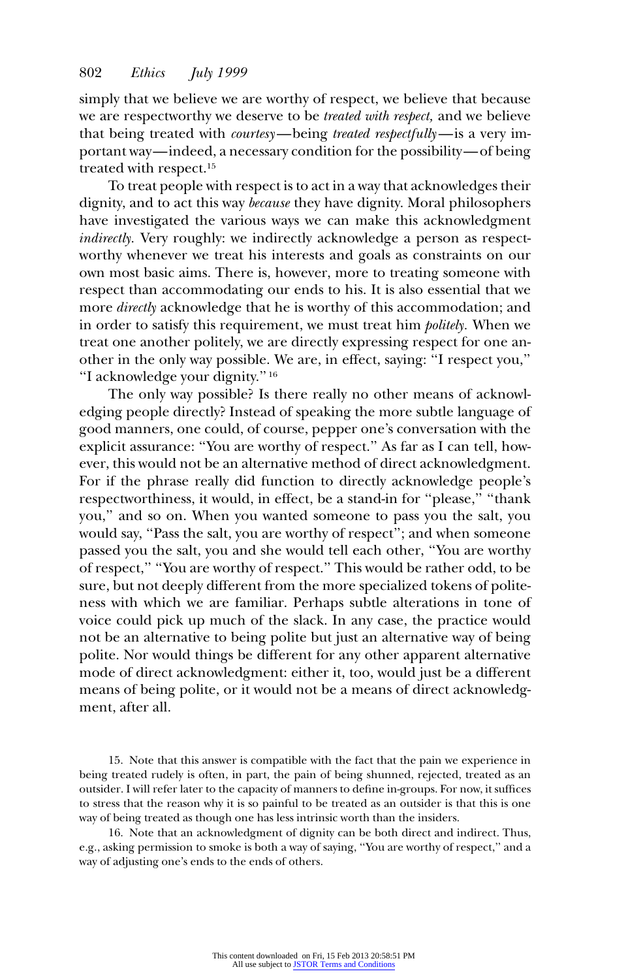simply that we believe we are worthy of respect, we believe that because we are respectworthy we deserve to be *treated with respect,* and we believe that being treated with *courtesy*—being *treated respectfully* —is a very important way—indeed, a necessary condition for the possibility—of being treated with respect.<sup>15</sup>

To treat people with respect is to act in a way that acknowledges their dignity, and to act this way *because* they have dignity. Moral philosophers have investigated the various ways we can make this acknowledgment *indirectly*. Very roughly: we indirectly acknowledge a person as respectworthy whenever we treat his interests and goals as constraints on our own most basic aims. There is, however, more to treating someone with respect than accommodating our ends to his. It is also essential that we more *directly* acknowledge that he is worthy of this accommodation; and in order to satisfy this requirement, we must treat him *politely.* When we treat one another politely, we are directly expressing respect for one another in the only way possible. We are, in effect, saying: ''I respect you,'' ''I acknowledge your dignity.'' <sup>16</sup>

The only way possible? Is there really no other means of acknowledging people directly? Instead of speaking the more subtle language of good manners, one could, of course, pepper one's conversation with the explicit assurance: ''You are worthy of respect.'' As far as I can tell, however, this would not be an alternative method of direct acknowledgment. For if the phrase really did function to directly acknowledge people's respectworthiness, it would, in effect, be a stand-in for ''please,'' ''thank you,'' and so on. When you wanted someone to pass you the salt, you would say, ''Pass the salt, you are worthy of respect''; and when someone passed you the salt, you and she would tell each other, ''You are worthy of respect,'' ''You are worthy of respect.'' This would be rather odd, to be sure, but not deeply different from the more specialized tokens of politeness with which we are familiar. Perhaps subtle alterations in tone of voice could pick up much of the slack. In any case, the practice would not be an alternative to being polite but just an alternative way of being polite. Nor would things be different for any other apparent alternative mode of direct acknowledgment: either it, too, would just be a different means of being polite, or it would not be a means of direct acknowledgment, after all.

15. Note that this answer is compatible with the fact that the pain we experience in being treated rudely is often, in part, the pain of being shunned, rejected, treated as an outsider. I will refer later to the capacity of manners to define in-groups. For now, it suffices to stress that the reason why it is so painful to be treated as an outsider is that this is one way of being treated as though one has less intrinsic worth than the insiders.

16. Note that an acknowledgment of dignity can be both direct and indirect. Thus, e.g., asking permission to smoke is both a way of saying, ''You are worthy of respect,'' and a way of adjusting one's ends to the ends of others.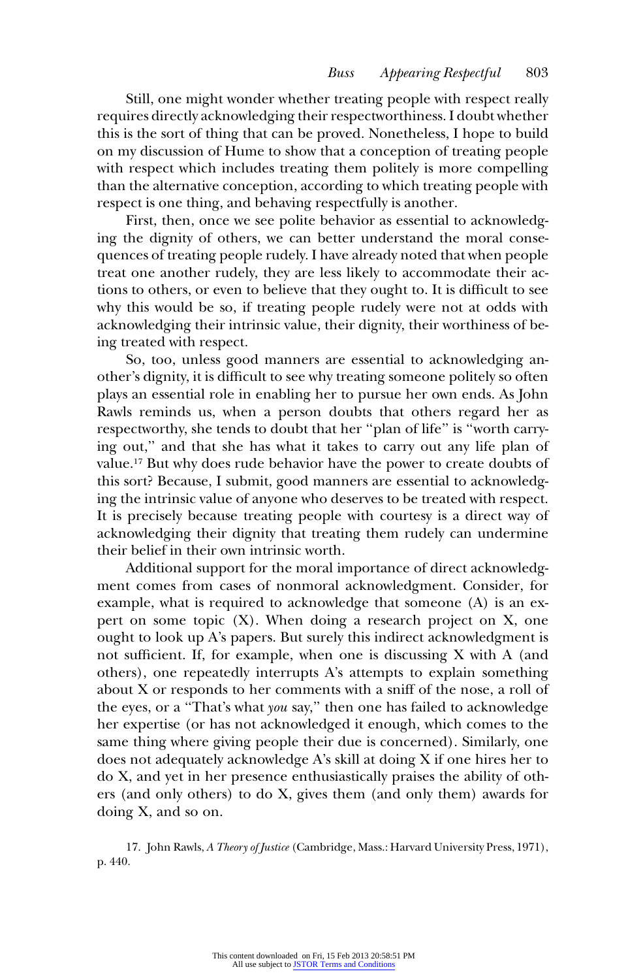Still, one might wonder whether treating people with respect really requires directly acknowledging their respectworthiness. I doubt whether this is the sort of thing that can be proved. Nonetheless, I hope to build on my discussion of Hume to show that a conception of treating people with respect which includes treating them politely is more compelling than the alternative conception, according to which treating people with respect is one thing, and behaving respectfully is another.

First, then, once we see polite behavior as essential to acknowledging the dignity of others, we can better understand the moral consequences of treating people rudely. I have already noted that when people treat one another rudely, they are less likely to accommodate their actions to others, or even to believe that they ought to. It is difficult to see why this would be so, if treating people rudely were not at odds with acknowledging their intrinsic value, their dignity, their worthiness of being treated with respect.

So, too, unless good manners are essential to acknowledging another's dignity, it is difficult to see why treating someone politely so often plays an essential role in enabling her to pursue her own ends. As John Rawls reminds us, when a person doubts that others regard her as respectworthy, she tends to doubt that her ''plan of life'' is ''worth carrying out,'' and that she has what it takes to carry out any life plan of value.17 But why does rude behavior have the power to create doubts of this sort? Because, I submit, good manners are essential to acknowledging the intrinsic value of anyone who deserves to be treated with respect. It is precisely because treating people with courtesy is a direct way of acknowledging their dignity that treating them rudely can undermine their belief in their own intrinsic worth.

Additional support for the moral importance of direct acknowledgment comes from cases of nonmoral acknowledgment. Consider, for example, what is required to acknowledge that someone (A) is an expert on some topic (X). When doing a research project on X, one ought to look up A's papers. But surely this indirect acknowledgment is not sufficient. If, for example, when one is discussing X with A (and others), one repeatedly interrupts A's attempts to explain something about X or responds to her comments with a sniff of the nose, a roll of the eyes, or a ''That's what *you* say,'' then one has failed to acknowledge her expertise (or has not acknowledged it enough, which comes to the same thing where giving people their due is concerned). Similarly, one does not adequately acknowledge A's skill at doing X if one hires her to do X, and yet in her presence enthusiastically praises the ability of others (and only others) to do X, gives them (and only them) awards for doing X, and so on.

17. John Rawls,*A Theory of Justice* (Cambridge, Mass.: Harvard University Press, 1971), p. 440.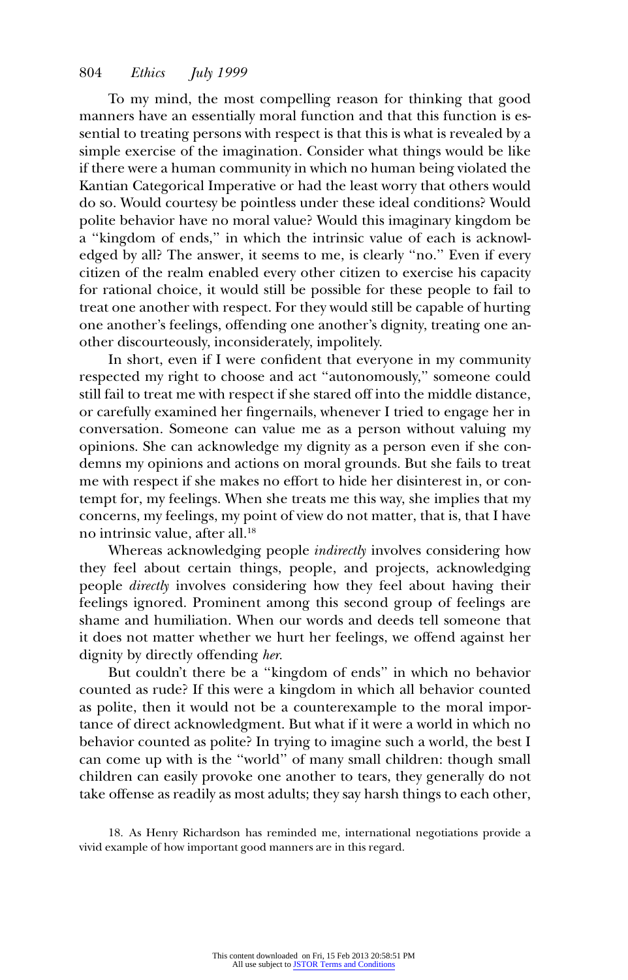To my mind, the most compelling reason for thinking that good manners have an essentially moral function and that this function is essential to treating persons with respect is that this is what is revealed by a simple exercise of the imagination. Consider what things would be like if there were a human community in which no human being violated the Kantian Categorical Imperative or had the least worry that others would do so. Would courtesy be pointless under these ideal conditions? Would polite behavior have no moral value? Would this imaginary kingdom be a ''kingdom of ends,'' in which the intrinsic value of each is acknowledged by all? The answer, it seems to me, is clearly ''no.'' Even if every citizen of the realm enabled every other citizen to exercise his capacity for rational choice, it would still be possible for these people to fail to treat one another with respect. For they would still be capable of hurting one another's feelings, offending one another's dignity, treating one another discourteously, inconsiderately, impolitely.

In short, even if I were confident that everyone in my community respected my right to choose and act ''autonomously,'' someone could still fail to treat me with respect if she stared off into the middle distance, or carefully examined her fingernails, whenever I tried to engage her in conversation. Someone can value me as a person without valuing my opinions. She can acknowledge my dignity as a person even if she condemns my opinions and actions on moral grounds. But she fails to treat me with respect if she makes no effort to hide her disinterest in, or contempt for, my feelings. When she treats me this way, she implies that my concerns, my feelings, my point of view do not matter, that is, that I have no intrinsic value, after all.18

Whereas acknowledging people *indirectly* involves considering how they feel about certain things, people, and projects, acknowledging people *directly* involves considering how they feel about having their feelings ignored. Prominent among this second group of feelings are shame and humiliation. When our words and deeds tell someone that it does not matter whether we hurt her feelings, we offend against her dignity by directly offending *her.*

But couldn't there be a ''kingdom of ends'' in which no behavior counted as rude? If this were a kingdom in which all behavior counted as polite, then it would not be a counterexample to the moral importance of direct acknowledgment. But what if it were a world in which no behavior counted as polite? In trying to imagine such a world, the best I can come up with is the ''world'' of many small children: though small children can easily provoke one another to tears, they generally do not take offense as readily as most adults; they say harsh things to each other,

18. As Henry Richardson has reminded me, international negotiations provide a vivid example of how important good manners are in this regard.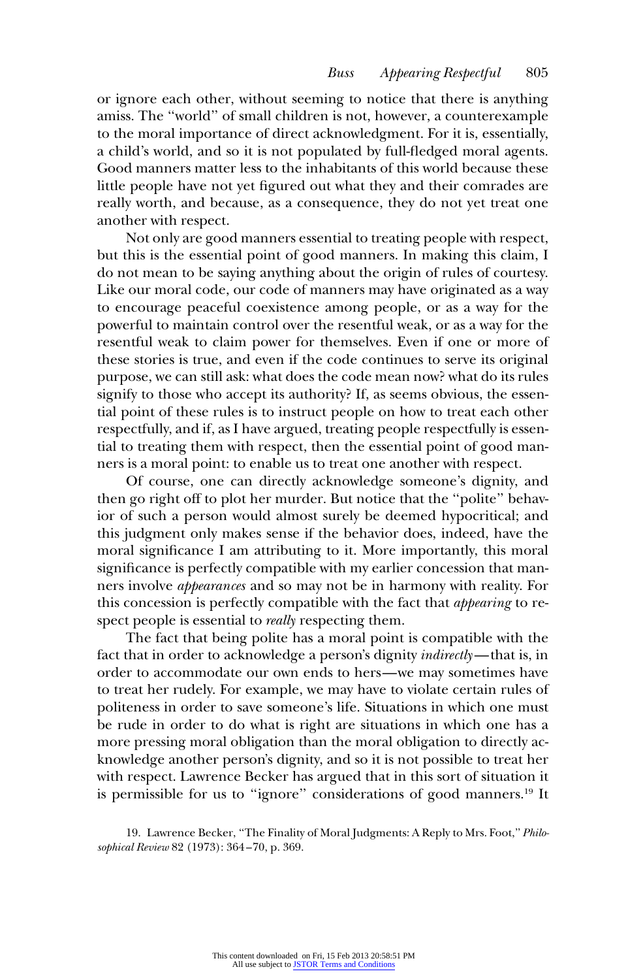or ignore each other, without seeming to notice that there is anything amiss. The ''world'' of small children is not, however, a counterexample to the moral importance of direct acknowledgment. For it is, essentially, a child's world, and so it is not populated by full-fledged moral agents. Good manners matter less to the inhabitants of this world because these little people have not yet figured out what they and their comrades are really worth, and because, as a consequence, they do not yet treat one another with respect.

Not only are good manners essential to treating people with respect, but this is the essential point of good manners. In making this claim, I do not mean to be saying anything about the origin of rules of courtesy. Like our moral code, our code of manners may have originated as a way to encourage peaceful coexistence among people, or as a way for the powerful to maintain control over the resentful weak, or as a way for the resentful weak to claim power for themselves. Even if one or more of these stories is true, and even if the code continues to serve its original purpose, we can still ask: what does the code mean now? what do its rules signify to those who accept its authority? If, as seems obvious, the essential point of these rules is to instruct people on how to treat each other respectfully, and if, as I have argued, treating people respectfully is essential to treating them with respect, then the essential point of good manners is a moral point: to enable us to treat one another with respect.

Of course, one can directly acknowledge someone's dignity, and then go right off to plot her murder. But notice that the ''polite'' behavior of such a person would almost surely be deemed hypocritical; and this judgment only makes sense if the behavior does, indeed, have the moral significance I am attributing to it. More importantly, this moral significance is perfectly compatible with my earlier concession that manners involve *appearances* and so may not be in harmony with reality. For this concession is perfectly compatible with the fact that *appearing* to respect people is essential to *really* respecting them.

The fact that being polite has a moral point is compatible with the fact that in order to acknowledge a person's dignity *indirectly*—that is, in order to accommodate our own ends to hers—we may sometimes have to treat her rudely. For example, we may have to violate certain rules of politeness in order to save someone's life. Situations in which one must be rude in order to do what is right are situations in which one has a more pressing moral obligation than the moral obligation to directly acknowledge another person's dignity, and so it is not possible to treat her with respect. Lawrence Becker has argued that in this sort of situation it is permissible for us to ''ignore'' considerations of good manners.19 It

<sup>19.</sup> Lawrence Becker, ''The Finality of Moral Judgments: A Reply to Mrs. Foot,''*Philosophical Review* 82 (1973): 364 –70, p. 369.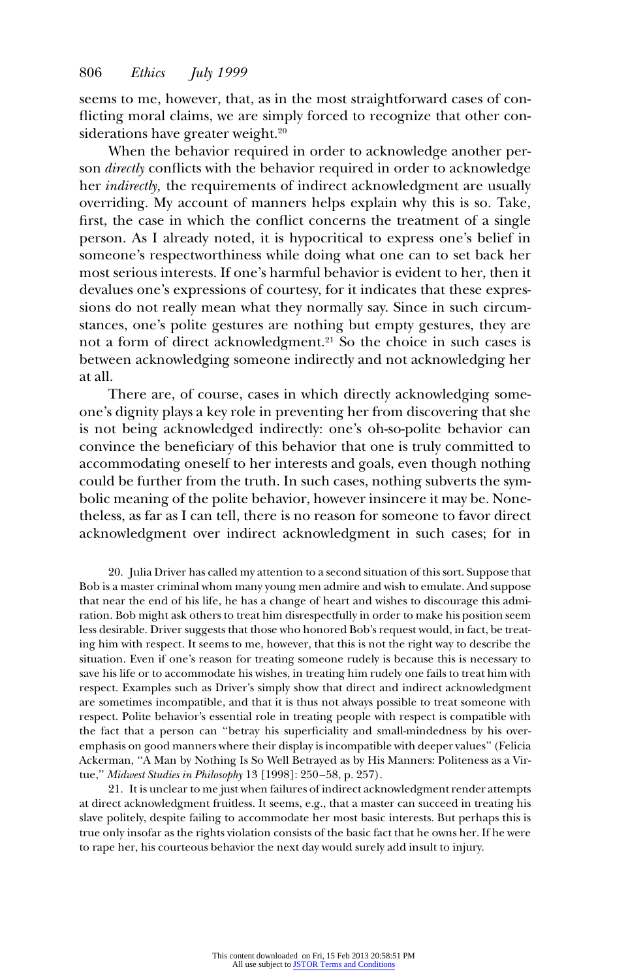seems to me, however, that, as in the most straightforward cases of conflicting moral claims, we are simply forced to recognize that other considerations have greater weight.<sup>20</sup>

When the behavior required in order to acknowledge another person *directly* conflicts with the behavior required in order to acknowledge her *indirectly,* the requirements of indirect acknowledgment are usually overriding. My account of manners helps explain why this is so. Take, first, the case in which the conflict concerns the treatment of a single person. As I already noted, it is hypocritical to express one's belief in someone's respectworthiness while doing what one can to set back her most serious interests. If one's harmful behavior is evident to her, then it devalues one's expressions of courtesy, for it indicates that these expressions do not really mean what they normally say. Since in such circumstances, one's polite gestures are nothing but empty gestures, they are not a form of direct acknowledgment.<sup>21</sup> So the choice in such cases is between acknowledging someone indirectly and not acknowledging her at all.

There are, of course, cases in which directly acknowledging someone's dignity plays a key role in preventing her from discovering that she is not being acknowledged indirectly: one's oh-so-polite behavior can convince the beneficiary of this behavior that one is truly committed to accommodating oneself to her interests and goals, even though nothing could be further from the truth. In such cases, nothing subverts the symbolic meaning of the polite behavior, however insincere it may be. Nonetheless, as far as I can tell, there is no reason for someone to favor direct acknowledgment over indirect acknowledgment in such cases; for in

20. Julia Driver has called my attention to a second situation of this sort. Suppose that Bob is a master criminal whom many young men admire and wish to emulate. And suppose that near the end of his life, he has a change of heart and wishes to discourage this admiration. Bob might ask others to treat him disrespectfully in order to make his position seem less desirable. Driver suggests that those who honored Bob's request would, in fact, be treating him with respect. It seems to me, however, that this is not the right way to describe the situation. Even if one's reason for treating someone rudely is because this is necessary to save his life or to accommodate his wishes, in treating him rudely one fails to treat him with respect. Examples such as Driver's simply show that direct and indirect acknowledgment are sometimes incompatible, and that it is thus not always possible to treat someone with respect. Polite behavior's essential role in treating people with respect is compatible with the fact that a person can ''betray his superficiality and small-mindedness by his overemphasis on good manners where their display is incompatible with deeper values'' (Felicia Ackerman, ''A Man by Nothing Is So Well Betrayed as by His Manners: Politeness as a Virtue,'' *Midwest Studies in Philosophy* 13 [1998]: 250–58, p. 257).

21. It is unclear to me just when failures of indirect acknowledgment render attempts at direct acknowledgment fruitless. It seems, e.g., that a master can succeed in treating his slave politely, despite failing to accommodate her most basic interests. But perhaps this is true only insofar as the rights violation consists of the basic fact that he owns her. If he were to rape her, his courteous behavior the next day would surely add insult to injury.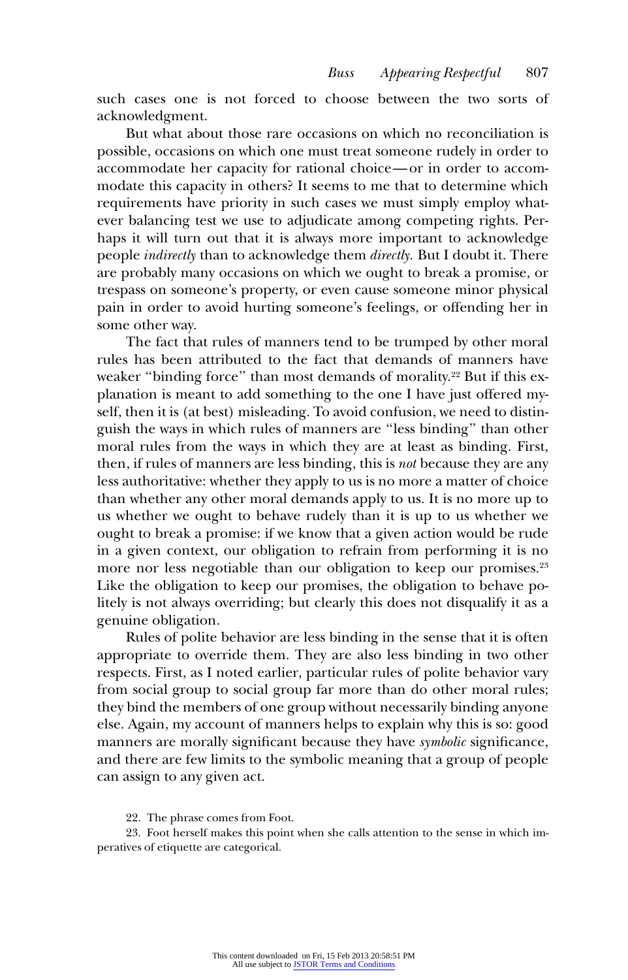such cases one is not forced to choose between the two sorts of acknowledgment.

But what about those rare occasions on which no reconciliation is possible, occasions on which one must treat someone rudely in order to accommodate her capacity for rational choice—or in order to accommodate this capacity in others? It seems to me that to determine which requirements have priority in such cases we must simply employ whatever balancing test we use to adjudicate among competing rights. Perhaps it will turn out that it is always more important to acknowledge people *indirectly* than to acknowledge them *directly.* But I doubt it. There are probably many occasions on which we ought to break a promise, or trespass on someone's property, or even cause someone minor physical pain in order to avoid hurting someone's feelings, or offending her in some other way.

The fact that rules of manners tend to be trumped by other moral rules has been attributed to the fact that demands of manners have weaker "binding force" than most demands of morality.<sup>22</sup> But if this explanation is meant to add something to the one I have just offered myself, then it is (at best) misleading. To avoid confusion, we need to distinguish the ways in which rules of manners are ''less binding'' than other moral rules from the ways in which they are at least as binding. First, then, if rules of manners are less binding, this is *not* because they are any less authoritative: whether they apply to us is no more a matter of choice than whether any other moral demands apply to us. It is no more up to us whether we ought to behave rudely than it is up to us whether we ought to break a promise: if we know that a given action would be rude in a given context, our obligation to refrain from performing it is no more nor less negotiable than our obligation to keep our promises.<sup>23</sup> Like the obligation to keep our promises, the obligation to behave politely is not always overriding; but clearly this does not disqualify it as a genuine obligation.

Rules of polite behavior are less binding in the sense that it is often appropriate to override them. They are also less binding in two other respects. First, as I noted earlier, particular rules of polite behavior vary from social group to social group far more than do other moral rules; they bind the members of one group without necessarily binding anyone else. Again, my account of manners helps to explain why this is so: good manners are morally significant because they have *symbolic* significance, and there are few limits to the symbolic meaning that a group of people can assign to any given act.

22. The phrase comes from Foot.

23. Foot herself makes this point when she calls attention to the sense in which imperatives of etiquette are categorical.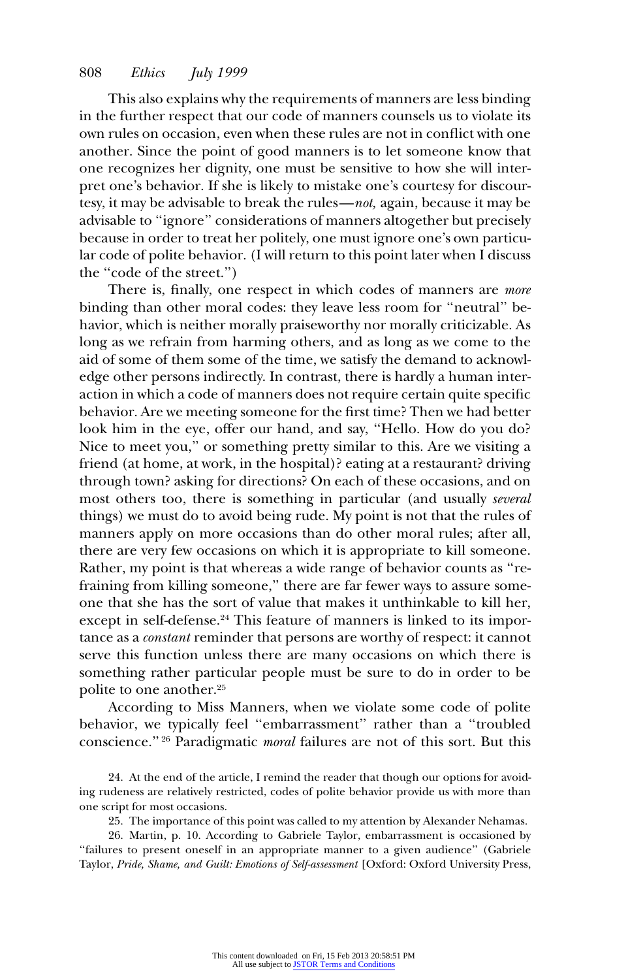This also explains why the requirements of manners are less binding in the further respect that our code of manners counsels us to violate its own rules on occasion, even when these rules are not in conflict with one another. Since the point of good manners is to let someone know that one recognizes her dignity, one must be sensitive to how she will interpret one's behavior. If she is likely to mistake one's courtesy for discourtesy, it may be advisable to break the rules—*not,* again, because it may be advisable to ''ignore'' considerations of manners altogether but precisely because in order to treat her politely, one must ignore one's own particular code of polite behavior. (I will return to this point later when I discuss the ''code of the street.'')

There is, finally, one respect in which codes of manners are *more* binding than other moral codes: they leave less room for ''neutral'' behavior, which is neither morally praiseworthy nor morally criticizable. As long as we refrain from harming others, and as long as we come to the aid of some of them some of the time, we satisfy the demand to acknowledge other persons indirectly. In contrast, there is hardly a human interaction in which a code of manners does not require certain quite specific behavior. Are we meeting someone for the first time? Then we had better look him in the eye, offer our hand, and say, ''Hello. How do you do? Nice to meet you,'' or something pretty similar to this. Are we visiting a friend (at home, at work, in the hospital)? eating at a restaurant? driving through town? asking for directions? On each of these occasions, and on most others too, there is something in particular (and usually *several* things) we must do to avoid being rude. My point is not that the rules of manners apply on more occasions than do other moral rules; after all, there are very few occasions on which it is appropriate to kill someone. Rather, my point is that whereas a wide range of behavior counts as ''refraining from killing someone,'' there are far fewer ways to assure someone that she has the sort of value that makes it unthinkable to kill her, except in self-defense.<sup>24</sup> This feature of manners is linked to its importance as a *constant* reminder that persons are worthy of respect: it cannot serve this function unless there are many occasions on which there is something rather particular people must be sure to do in order to be polite to one another.25

According to Miss Manners, when we violate some code of polite behavior, we typically feel ''embarrassment'' rather than a ''troubled conscience.'' <sup>26</sup> Paradigmatic *moral* failures are not of this sort. But this

25. The importance of this point was called to my attention by Alexander Nehamas.

26. Martin, p. 10. According to Gabriele Taylor, embarrassment is occasioned by ''failures to present oneself in an appropriate manner to a given audience'' (Gabriele Taylor, *Pride, Shame, and Guilt: Emotions of Self-assessment* [Oxford: Oxford University Press,

<sup>24.</sup> At the end of the article, I remind the reader that though our options for avoiding rudeness are relatively restricted, codes of polite behavior provide us with more than one script for most occasions.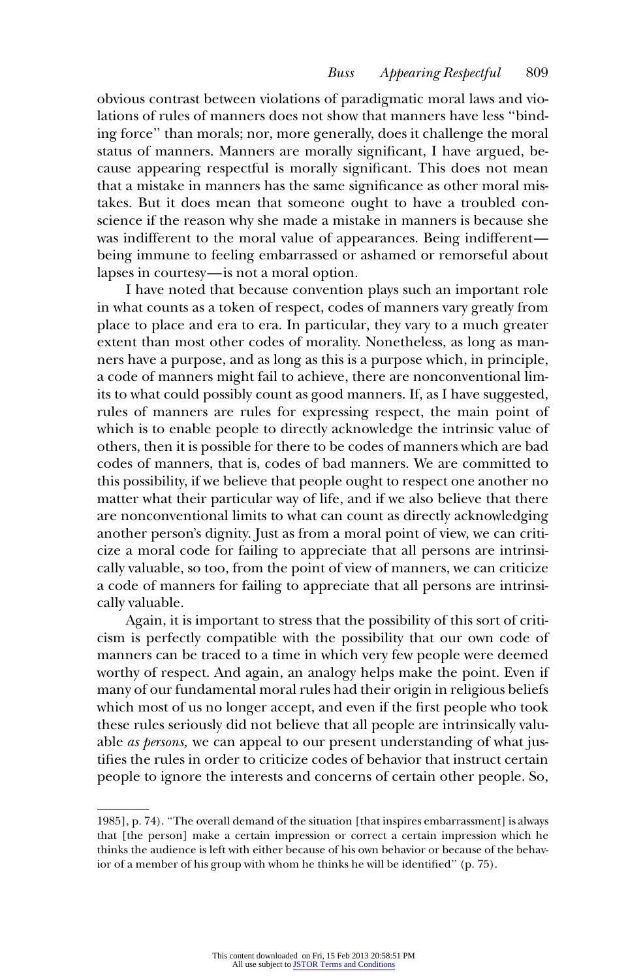obvious contrast between violations of paradigmatic moral laws and violations of rules of manners does not show that manners have less ''binding force'' than morals; nor, more generally, does it challenge the moral status of manners. Manners are morally significant, I have argued, because appearing respectful is morally significant. This does not mean that a mistake in manners has the same significance as other moral mistakes. But it does mean that someone ought to have a troubled conscience if the reason why she made a mistake in manners is because she was indifferent to the moral value of appearances. Being indifferent being immune to feeling embarrassed or ashamed or remorseful about lapses in courtesy—is not a moral option.

I have noted that because convention plays such an important role in what counts as a token of respect, codes of manners vary greatly from place to place and era to era. In particular, they vary to a much greater extent than most other codes of morality. Nonetheless, as long as manners have a purpose, and as long as this is a purpose which, in principle, a code of manners might fail to achieve, there are nonconventional limits to what could possibly count as good manners. If, as I have suggested, rules of manners are rules for expressing respect, the main point of which is to enable people to directly acknowledge the intrinsic value of others, then it is possible for there to be codes of manners which are bad codes of manners, that is, codes of bad manners. We are committed to this possibility, if we believe that people ought to respect one another no matter what their particular way of life, and if we also believe that there are nonconventional limits to what can count as directly acknowledging another person's dignity. Just as from a moral point of view, we can criticize a moral code for failing to appreciate that all persons are intrinsically valuable, so too, from the point of view of manners, we can criticize a code of manners for failing to appreciate that all persons are intrinsically valuable.

Again, it is important to stress that the possibility of this sort of criticism is perfectly compatible with the possibility that our own code of manners can be traced to a time in which very few people were deemed worthy of respect. And again, an analogy helps make the point. Even if many of our fundamental moral rules had their origin in religious beliefs which most of us no longer accept, and even if the first people who took these rules seriously did not believe that all people are intrinsically valuable *as persons,* we can appeal to our present understanding of what justifies the rules in order to criticize codes of behavior that instruct certain people to ignore the interests and concerns of certain other people. So,

<sup>1985],</sup> p. 74). ''The overall demand of the situation [that inspires embarrassment] is always that [the person] make a certain impression or correct a certain impression which he thinks the audience is left with either because of his own behavior or because of the behavior of a member of his group with whom he thinks he will be identified'' (p. 75).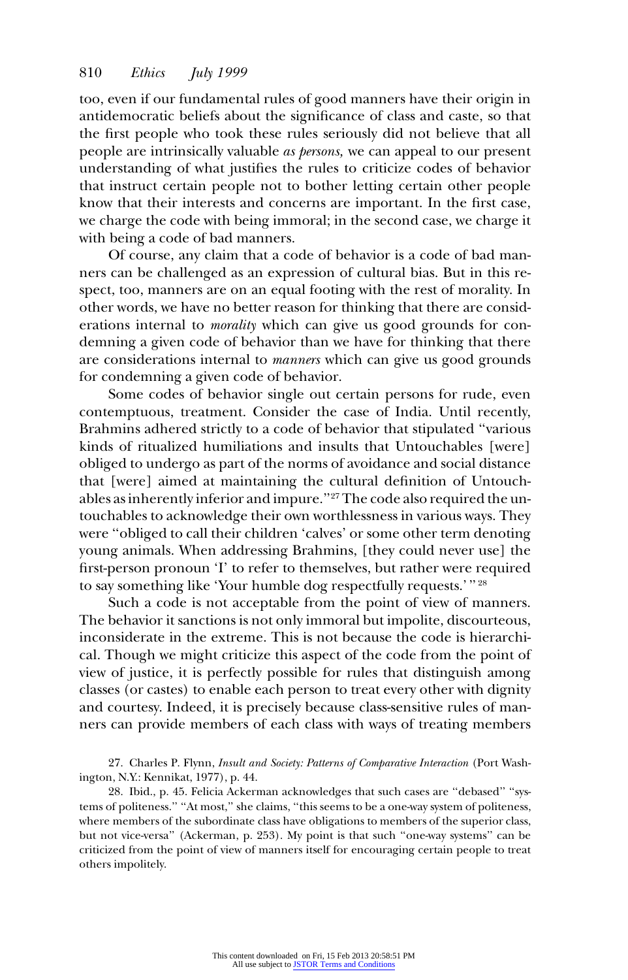too, even if our fundamental rules of good manners have their origin in antidemocratic beliefs about the significance of class and caste, so that the first people who took these rules seriously did not believe that all people are intrinsically valuable *as persons,* we can appeal to our present understanding of what justifies the rules to criticize codes of behavior that instruct certain people not to bother letting certain other people know that their interests and concerns are important. In the first case, we charge the code with being immoral; in the second case, we charge it with being a code of bad manners.

Of course, any claim that a code of behavior is a code of bad manners can be challenged as an expression of cultural bias. But in this respect, too, manners are on an equal footing with the rest of morality. In other words, we have no better reason for thinking that there are considerations internal to *morality* which can give us good grounds for condemning a given code of behavior than we have for thinking that there are considerations internal to *manners* which can give us good grounds for condemning a given code of behavior.

Some codes of behavior single out certain persons for rude, even contemptuous, treatment. Consider the case of India. Until recently, Brahmins adhered strictly to a code of behavior that stipulated ''various kinds of ritualized humiliations and insults that Untouchables [were] obliged to undergo as part of the norms of avoidance and social distance that [were] aimed at maintaining the cultural definition of Untouchables as inherently inferior and impure."<sup>27</sup> The code also required the untouchables to acknowledge their own worthlessness in various ways. They were ''obliged to call their children 'calves' or some other term denoting young animals. When addressing Brahmins, [they could never use] the first-person pronoun 'I' to refer to themselves, but rather were required to say something like 'Your humble dog respectfully requests.''' <sup>28</sup>

Such a code is not acceptable from the point of view of manners. The behavior it sanctions is not only immoral but impolite, discourteous, inconsiderate in the extreme. This is not because the code is hierarchical. Though we might criticize this aspect of the code from the point of view of justice, it is perfectly possible for rules that distinguish among classes (or castes) to enable each person to treat every other with dignity and courtesy. Indeed, it is precisely because class-sensitive rules of manners can provide members of each class with ways of treating members

27. Charles P. Flynn, *Insult and Society: Patterns of Comparative Interaction* (Port Washington, N.Y.: Kennikat, 1977), p. 44.

28. Ibid., p. 45. Felicia Ackerman acknowledges that such cases are ''debased'' ''systems of politeness.'' ''At most,'' she claims, ''this seems to be a one-way system of politeness, where members of the subordinate class have obligations to members of the superior class, but not vice-versa'' (Ackerman, p. 253). My point is that such ''one-way systems'' can be criticized from the point of view of manners itself for encouraging certain people to treat others impolitely.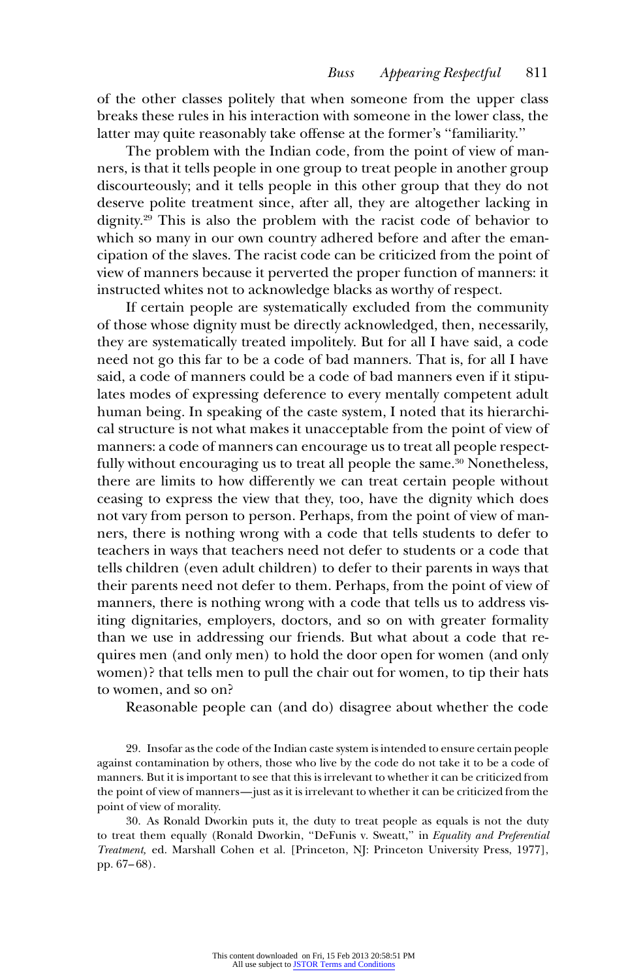of the other classes politely that when someone from the upper class breaks these rules in his interaction with someone in the lower class, the latter may quite reasonably take offense at the former's ''familiarity.''

The problem with the Indian code, from the point of view of manners, is that it tells people in one group to treat people in another group discourteously; and it tells people in this other group that they do not deserve polite treatment since, after all, they are altogether lacking in dignity.29 This is also the problem with the racist code of behavior to which so many in our own country adhered before and after the emancipation of the slaves. The racist code can be criticized from the point of view of manners because it perverted the proper function of manners: it instructed whites not to acknowledge blacks as worthy of respect.

If certain people are systematically excluded from the community of those whose dignity must be directly acknowledged, then, necessarily, they are systematically treated impolitely. But for all I have said, a code need not go this far to be a code of bad manners. That is, for all I have said, a code of manners could be a code of bad manners even if it stipulates modes of expressing deference to every mentally competent adult human being. In speaking of the caste system, I noted that its hierarchical structure is not what makes it unacceptable from the point of view of manners: a code of manners can encourage us to treat all people respectfully without encouraging us to treat all people the same.<sup>30</sup> Nonetheless, there are limits to how differently we can treat certain people without ceasing to express the view that they, too, have the dignity which does not vary from person to person. Perhaps, from the point of view of manners, there is nothing wrong with a code that tells students to defer to teachers in ways that teachers need not defer to students or a code that tells children (even adult children) to defer to their parents in ways that their parents need not defer to them. Perhaps, from the point of view of manners, there is nothing wrong with a code that tells us to address visiting dignitaries, employers, doctors, and so on with greater formality than we use in addressing our friends. But what about a code that requires men (and only men) to hold the door open for women (and only women)? that tells men to pull the chair out for women, to tip their hats to women, and so on?

Reasonable people can (and do) disagree about whether the code

29. Insofar as the code of the Indian caste system is intended to ensure certain people against contamination by others, those who live by the code do not take it to be a code of manners. But it is important to see that this is irrelevant to whether it can be criticized from the point of view of manners—just as it is irrelevant to whether it can be criticized from the point of view of morality.

30. As Ronald Dworkin puts it, the duty to treat people as equals is not the duty to treat them equally (Ronald Dworkin, ''DeFunis v. Sweatt,'' in *Equality and Preferential Treatment,* ed. Marshall Cohen et al. [Princeton, NJ: Princeton University Press, 1977], pp. 67– 68).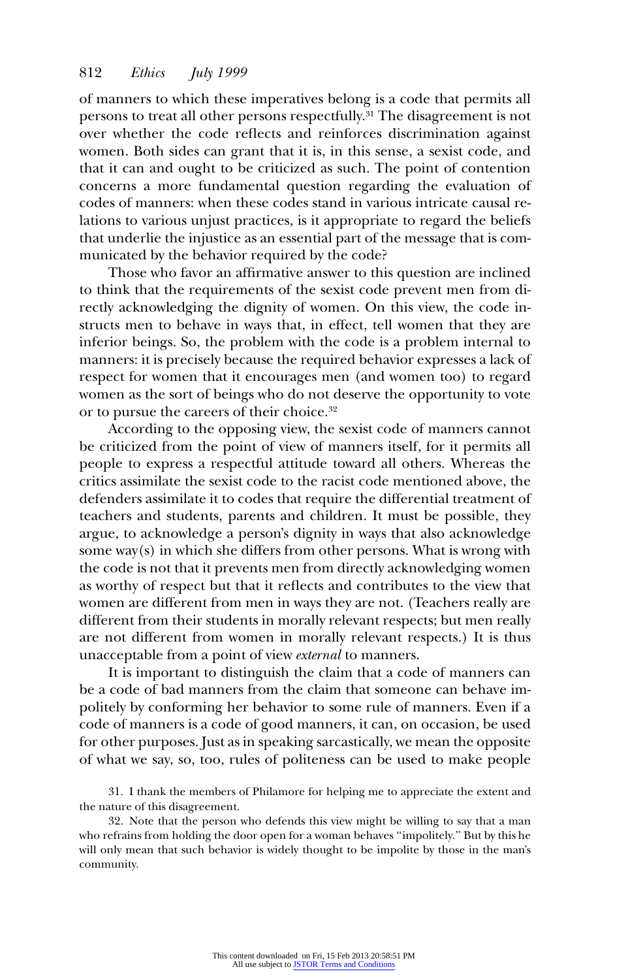of manners to which these imperatives belong is a code that permits all persons to treat all other persons respectfully.<sup>31</sup> The disagreement is not over whether the code reflects and reinforces discrimination against women. Both sides can grant that it is, in this sense, a sexist code, and that it can and ought to be criticized as such. The point of contention concerns a more fundamental question regarding the evaluation of codes of manners: when these codes stand in various intricate causal relations to various unjust practices, is it appropriate to regard the beliefs that underlie the injustice as an essential part of the message that is communicated by the behavior required by the code?

Those who favor an affirmative answer to this question are inclined to think that the requirements of the sexist code prevent men from directly acknowledging the dignity of women. On this view, the code instructs men to behave in ways that, in effect, tell women that they are inferior beings. So, the problem with the code is a problem internal to manners: it is precisely because the required behavior expresses a lack of respect for women that it encourages men (and women too) to regard women as the sort of beings who do not deserve the opportunity to vote or to pursue the careers of their choice.<sup>32</sup>

According to the opposing view, the sexist code of manners cannot be criticized from the point of view of manners itself, for it permits all people to express a respectful attitude toward all others. Whereas the critics assimilate the sexist code to the racist code mentioned above, the defenders assimilate it to codes that require the differential treatment of teachers and students, parents and children. It must be possible, they argue, to acknowledge a person's dignity in ways that also acknowledge some way(s) in which she differs from other persons. What is wrong with the code is not that it prevents men from directly acknowledging women as worthy of respect but that it reflects and contributes to the view that women are different from men in ways they are not. (Teachers really are different from their students in morally relevant respects; but men really are not different from women in morally relevant respects.) It is thus unacceptable from a point of view *external* to manners.

It is important to distinguish the claim that a code of manners can be a code of bad manners from the claim that someone can behave impolitely by conforming her behavior to some rule of manners. Even if a code of manners is a code of good manners, it can, on occasion, be used for other purposes. Just as in speaking sarcastically, we mean the opposite of what we say, so, too, rules of politeness can be used to make people

<sup>31.</sup> I thank the members of Philamore for helping me to appreciate the extent and the nature of this disagreement.

<sup>32.</sup> Note that the person who defends this view might be willing to say that a man who refrains from holding the door open for a woman behaves ''impolitely.'' But by this he will only mean that such behavior is widely thought to be impolite by those in the man's community.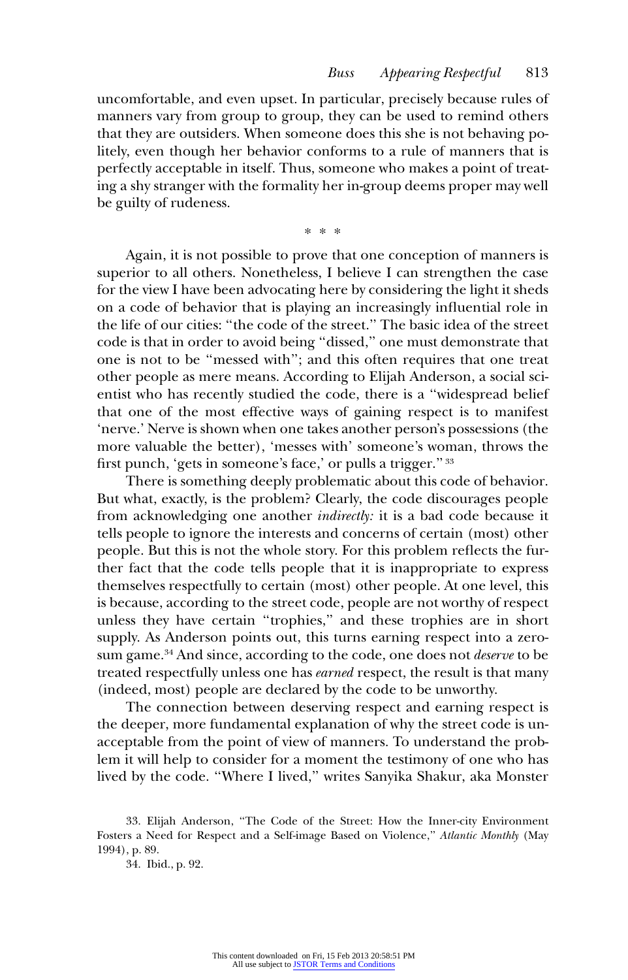uncomfortable, and even upset. In particular, precisely because rules of manners vary from group to group, they can be used to remind others that they are outsiders. When someone does this she is not behaving politely, even though her behavior conforms to a rule of manners that is perfectly acceptable in itself. Thus, someone who makes a point of treating a shy stranger with the formality her in-group deems proper may well be guilty of rudeness.

\*\*\*

Again, it is not possible to prove that one conception of manners is superior to all others. Nonetheless, I believe I can strengthen the case for the view I have been advocating here by considering the light it sheds on a code of behavior that is playing an increasingly influential role in the life of our cities: ''the code of the street.'' The basic idea of the street code is that in order to avoid being ''dissed,'' one must demonstrate that one is not to be ''messed with''; and this often requires that one treat other people as mere means. According to Elijah Anderson, a social scientist who has recently studied the code, there is a ''widespread belief that one of the most effective ways of gaining respect is to manifest 'nerve.' Nerve is shown when one takes another person's possessions (the more valuable the better), 'messes with' someone's woman, throws the first punch, 'gets in someone's face,' or pulls a trigger.'' <sup>33</sup>

There is something deeply problematic about this code of behavior. But what, exactly, is the problem? Clearly, the code discourages people from acknowledging one another *indirectly:* it is a bad code because it tells people to ignore the interests and concerns of certain (most) other people. But this is not the whole story. For this problem reflects the further fact that the code tells people that it is inappropriate to express themselves respectfully to certain (most) other people. At one level, this is because, according to the street code, people are not worthy of respect unless they have certain ''trophies,'' and these trophies are in short supply. As Anderson points out, this turns earning respect into a zerosum game.34 And since, according to the code, one does not *deserve* to be treated respectfully unless one has *earned* respect, the result is that many (indeed, most) people are declared by the code to be unworthy.

The connection between deserving respect and earning respect is the deeper, more fundamental explanation of why the street code is unacceptable from the point of view of manners. To understand the problem it will help to consider for a moment the testimony of one who has lived by the code. ''Where I lived,'' writes Sanyika Shakur, aka Monster

<sup>33.</sup> Elijah Anderson, ''The Code of the Street: How the Inner-city Environment Fosters a Need for Respect and a Self-image Based on Violence,'' *Atlantic Monthly* (May 1994), p. 89.

<sup>34.</sup> Ibid., p. 92.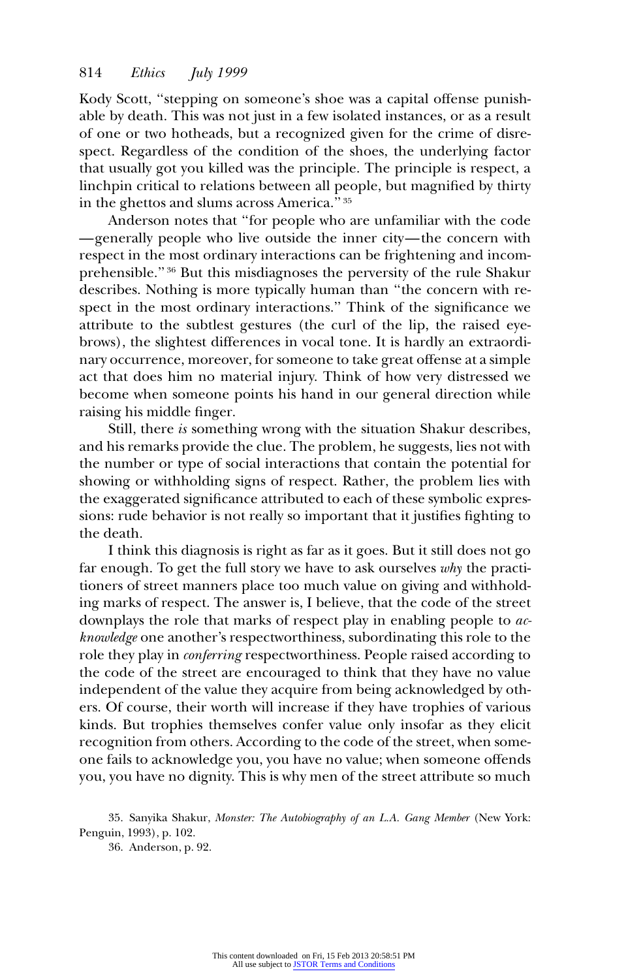Kody Scott, ''stepping on someone's shoe was a capital offense punishable by death. This was not just in a few isolated instances, or as a result of one or two hotheads, but a recognized given for the crime of disrespect. Regardless of the condition of the shoes, the underlying factor that usually got you killed was the principle. The principle is respect, a linchpin critical to relations between all people, but magnified by thirty in the ghettos and slums across America.'' <sup>35</sup>

Anderson notes that ''for people who are unfamiliar with the code —generally people who live outside the inner city—the concern with respect in the most ordinary interactions can be frightening and incomprehensible.'' <sup>36</sup> But this misdiagnoses the perversity of the rule Shakur describes. Nothing is more typically human than ''the concern with respect in the most ordinary interactions.'' Think of the significance we attribute to the subtlest gestures (the curl of the lip, the raised eyebrows), the slightest differences in vocal tone. It is hardly an extraordinary occurrence, moreover, for someone to take great offense at a simple act that does him no material injury. Think of how very distressed we become when someone points his hand in our general direction while raising his middle finger.

Still, there *is* something wrong with the situation Shakur describes, and his remarks provide the clue. The problem, he suggests, lies not with the number or type of social interactions that contain the potential for showing or withholding signs of respect. Rather, the problem lies with the exaggerated significance attributed to each of these symbolic expressions: rude behavior is not really so important that it justifies fighting to the death.

I think this diagnosis is right as far as it goes. But it still does not go far enough. To get the full story we have to ask ourselves *why* the practitioners of street manners place too much value on giving and withholding marks of respect. The answer is, I believe, that the code of the street downplays the role that marks of respect play in enabling people to *acknowledge* one another's respectworthiness, subordinating this role to the role they play in *conferring* respectworthiness. People raised according to the code of the street are encouraged to think that they have no value independent of the value they acquire from being acknowledged by others. Of course, their worth will increase if they have trophies of various kinds. But trophies themselves confer value only insofar as they elicit recognition from others. According to the code of the street, when someone fails to acknowledge you, you have no value; when someone offends you, you have no dignity. This is why men of the street attribute so much

35. Sanyika Shakur, *Monster: The Autobiography of an L.A. Gang Member* (New York: Penguin, 1993), p. 102.

36. Anderson, p. 92.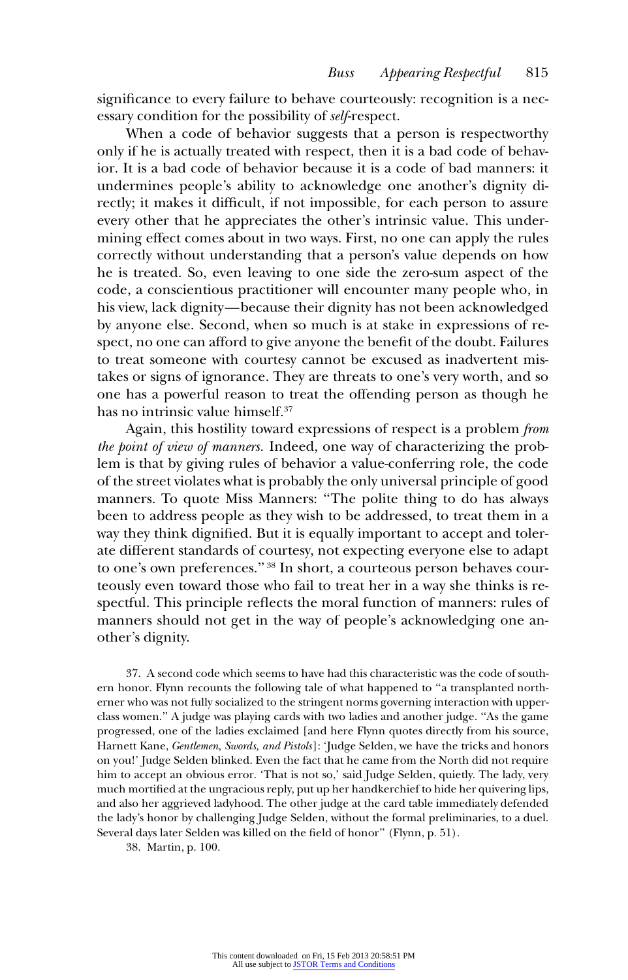significance to every failure to behave courteously: recognition is a necessary condition for the possibility of *self*-respect.

When a code of behavior suggests that a person is respectworthy only if he is actually treated with respect, then it is a bad code of behavior. It is a bad code of behavior because it is a code of bad manners: it undermines people's ability to acknowledge one another's dignity directly; it makes it difficult, if not impossible, for each person to assure every other that he appreciates the other's intrinsic value. This undermining effect comes about in two ways. First, no one can apply the rules correctly without understanding that a person's value depends on how he is treated. So, even leaving to one side the zero-sum aspect of the code, a conscientious practitioner will encounter many people who, in his view, lack dignity—because their dignity has not been acknowledged by anyone else. Second, when so much is at stake in expressions of respect, no one can afford to give anyone the benefit of the doubt. Failures to treat someone with courtesy cannot be excused as inadvertent mistakes or signs of ignorance. They are threats to one's very worth, and so one has a powerful reason to treat the offending person as though he has no intrinsic value himself.37

Again, this hostility toward expressions of respect is a problem *from the point of view of manners.* Indeed, one way of characterizing the problem is that by giving rules of behavior a value-conferring role, the code of the street violates what is probably the only universal principle of good manners. To quote Miss Manners: ''The polite thing to do has always been to address people as they wish to be addressed, to treat them in a way they think dignified. But it is equally important to accept and tolerate different standards of courtesy, not expecting everyone else to adapt to one's own preferences.'' <sup>38</sup> In short, a courteous person behaves courteously even toward those who fail to treat her in a way she thinks is respectful. This principle reflects the moral function of manners: rules of manners should not get in the way of people's acknowledging one another's dignity.

37. A second code which seems to have had this characteristic was the code of southern honor. Flynn recounts the following tale of what happened to ''a transplanted northerner who was not fully socialized to the stringent norms governing interaction with upperclass women.'' A judge was playing cards with two ladies and another judge. ''As the game progressed, one of the ladies exclaimed [and here Flynn quotes directly from his source, Harnett Kane, *Gentlemen, Swords, and Pistols*]: 'Judge Selden, we have the tricks and honors on you!' Judge Selden blinked. Even the fact that he came from the North did not require him to accept an obvious error. 'That is not so,' said Judge Selden, quietly. The lady, very much mortified at the ungracious reply, put up her handkerchief to hide her quivering lips, and also her aggrieved ladyhood. The other judge at the card table immediately defended the lady's honor by challenging Judge Selden, without the formal preliminaries, to a duel. Several days later Selden was killed on the field of honor'' (Flynn, p. 51).

38. Martin, p. 100.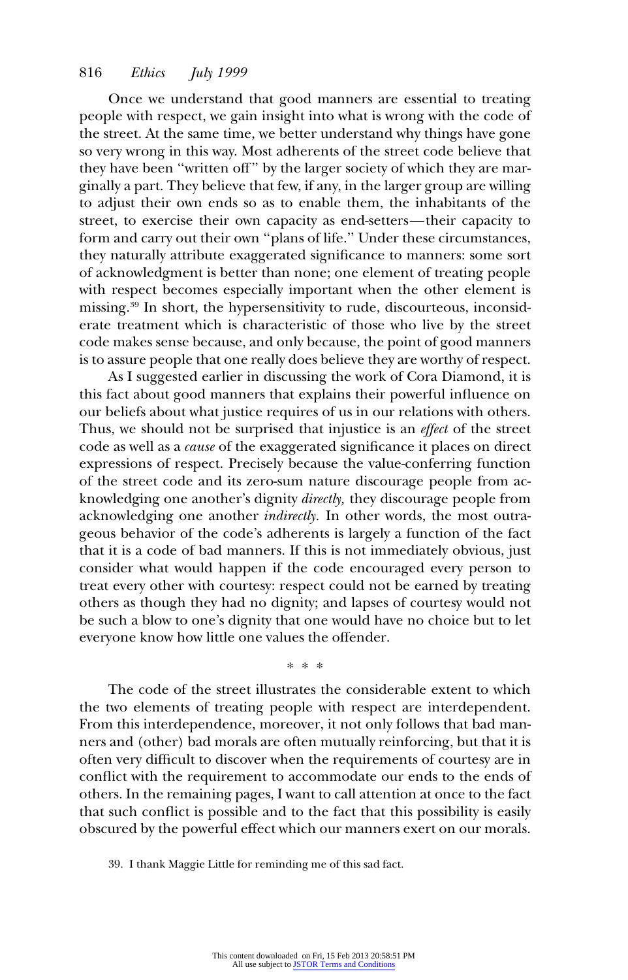Once we understand that good manners are essential to treating people with respect, we gain insight into what is wrong with the code of the street. At the same time, we better understand why things have gone so very wrong in this way. Most adherents of the street code believe that they have been ''written off'' by the larger society of which they are marginally a part. They believe that few, if any, in the larger group are willing to adjust their own ends so as to enable them, the inhabitants of the street, to exercise their own capacity as end-setters—their capacity to form and carry out their own ''plans of life.'' Under these circumstances, they naturally attribute exaggerated significance to manners: some sort of acknowledgment is better than none; one element of treating people with respect becomes especially important when the other element is missing.39 In short, the hypersensitivity to rude, discourteous, inconsiderate treatment which is characteristic of those who live by the street code makes sense because, and only because, the point of good manners is to assure people that one really does believe they are worthy of respect.

As I suggested earlier in discussing the work of Cora Diamond, it is this fact about good manners that explains their powerful influence on our beliefs about what justice requires of us in our relations with others. Thus, we should not be surprised that injustice is an *effect* of the street code as well as a *cause* of the exaggerated significance it places on direct expressions of respect. Precisely because the value-conferring function of the street code and its zero-sum nature discourage people from acknowledging one another's dignity *directly,* they discourage people from acknowledging one another *indirectly.* In other words, the most outrageous behavior of the code's adherents is largely a function of the fact that it is a code of bad manners. If this is not immediately obvious, just consider what would happen if the code encouraged every person to treat every other with courtesy: respect could not be earned by treating others as though they had no dignity; and lapses of courtesy would not be such a blow to one's dignity that one would have no choice but to let everyone know how little one values the offender.

The code of the street illustrates the considerable extent to which the two elements of treating people with respect are interdependent. From this interdependence, moreover, it not only follows that bad manners and (other) bad morals are often mutually reinforcing, but that it is often very difficult to discover when the requirements of courtesy are in conflict with the requirement to accommodate our ends to the ends of others. In the remaining pages, I want to call attention at once to the fact that such conflict is possible and to the fact that this possibility is easily obscured by the powerful effect which our manners exert on our morals.

\*\*\*

39. I thank Maggie Little for reminding me of this sad fact.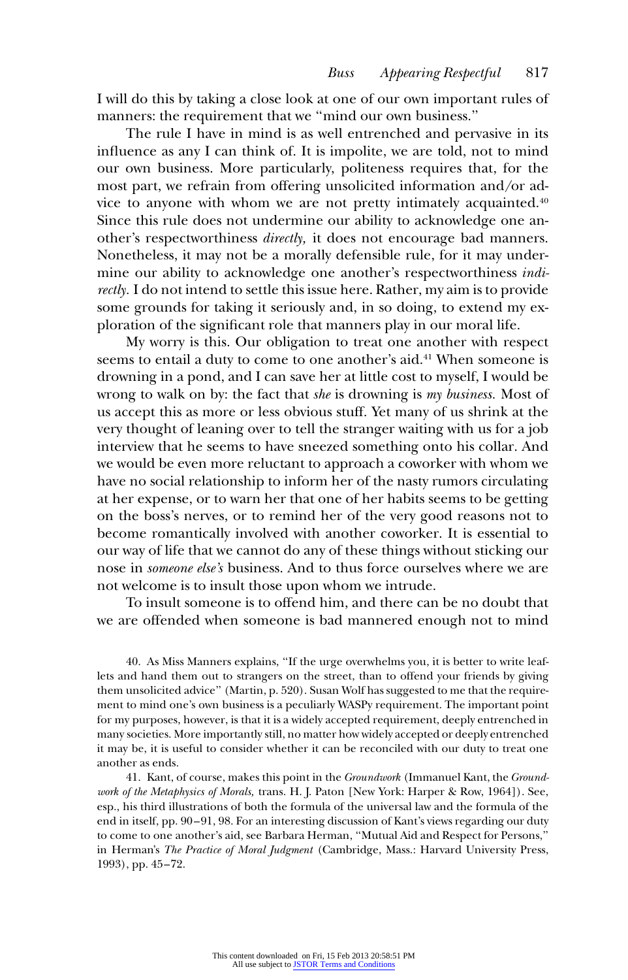I will do this by taking a close look at one of our own important rules of manners: the requirement that we ''mind our own business.''

The rule I have in mind is as well entrenched and pervasive in its influence as any I can think of. It is impolite, we are told, not to mind our own business. More particularly, politeness requires that, for the most part, we refrain from offering unsolicited information and/or advice to anyone with whom we are not pretty intimately acquainted.<sup>40</sup> Since this rule does not undermine our ability to acknowledge one another's respectworthiness *directly,* it does not encourage bad manners. Nonetheless, it may not be a morally defensible rule, for it may undermine our ability to acknowledge one another's respectworthiness *indirectly.* I do not intend to settle this issue here. Rather, my aim is to provide some grounds for taking it seriously and, in so doing, to extend my exploration of the significant role that manners play in our moral life.

My worry is this. Our obligation to treat one another with respect seems to entail a duty to come to one another's aid.<sup>41</sup> When someone is drowning in a pond, and I can save her at little cost to myself, I would be wrong to walk on by: the fact that *she* is drowning is *my business.* Most of us accept this as more or less obvious stuff. Yet many of us shrink at the very thought of leaning over to tell the stranger waiting with us for a job interview that he seems to have sneezed something onto his collar. And we would be even more reluctant to approach a coworker with whom we have no social relationship to inform her of the nasty rumors circulating at her expense, or to warn her that one of her habits seems to be getting on the boss's nerves, or to remind her of the very good reasons not to become romantically involved with another coworker. It is essential to our way of life that we cannot do any of these things without sticking our nose in *someone else's* business. And to thus force ourselves where we are not welcome is to insult those upon whom we intrude.

To insult someone is to offend him, and there can be no doubt that we are offended when someone is bad mannered enough not to mind

40. As Miss Manners explains, ''If the urge overwhelms you, it is better to write leaflets and hand them out to strangers on the street, than to offend your friends by giving them unsolicited advice'' (Martin, p. 520). Susan Wolf has suggested to me that the requirement to mind one's own business is a peculiarly WASPy requirement. The important point for my purposes, however, is that it is a widely accepted requirement, deeply entrenched in many societies. More importantly still, no matter how widely accepted or deeply entrenched it may be, it is useful to consider whether it can be reconciled with our duty to treat one another as ends.

41. Kant, of course, makes this point in the *Groundwork* (Immanuel Kant, the*Groundwork of the Metaphysics of Morals,* trans. H. J. Paton [New York: Harper & Row, 1964]). See, esp., his third illustrations of both the formula of the universal law and the formula of the end in itself, pp. 90–91, 98. For an interesting discussion of Kant's views regarding our duty to come to one another's aid, see Barbara Herman, ''Mutual Aid and Respect for Persons,'' in Herman's *The Practice of Moral Judgment* (Cambridge, Mass.: Harvard University Press, 1993), pp. 45–72.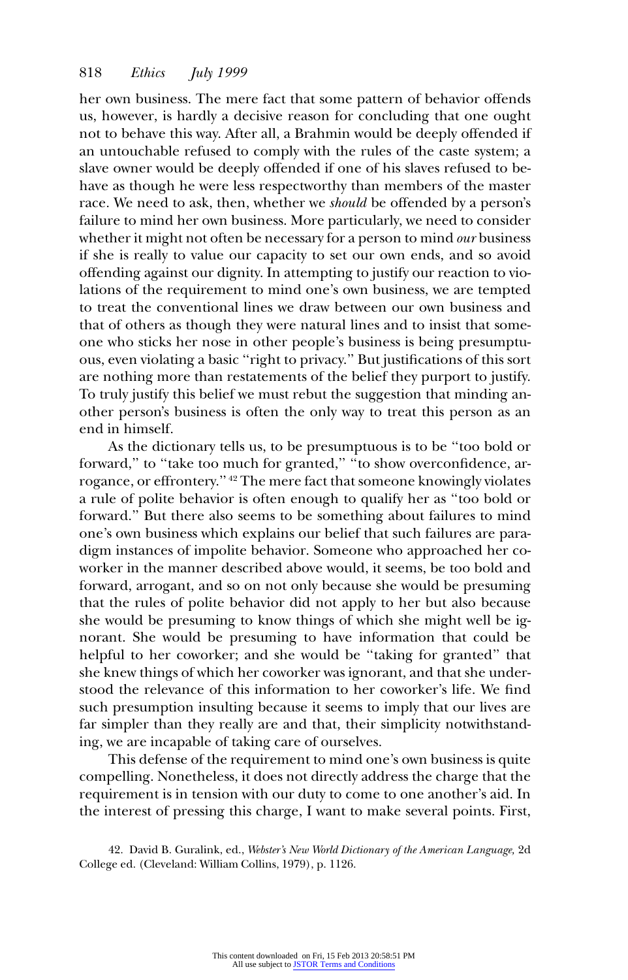her own business. The mere fact that some pattern of behavior offends us, however, is hardly a decisive reason for concluding that one ought not to behave this way. After all, a Brahmin would be deeply offended if an untouchable refused to comply with the rules of the caste system; a slave owner would be deeply offended if one of his slaves refused to behave as though he were less respectworthy than members of the master race. We need to ask, then, whether we *should* be offended by a person's failure to mind her own business. More particularly, we need to consider whether it might not often be necessary for a person to mind *our* business if she is really to value our capacity to set our own ends, and so avoid offending against our dignity. In attempting to justify our reaction to violations of the requirement to mind one's own business, we are tempted to treat the conventional lines we draw between our own business and that of others as though they were natural lines and to insist that someone who sticks her nose in other people's business is being presumptuous, even violating a basic ''right to privacy.'' But justifications of this sort are nothing more than restatements of the belief they purport to justify. To truly justify this belief we must rebut the suggestion that minding another person's business is often the only way to treat this person as an end in himself.

As the dictionary tells us, to be presumptuous is to be ''too bold or forward," to "take too much for granted," "to show overconfidence, arrogance, or effrontery.'' <sup>42</sup> The mere fact that someone knowingly violates a rule of polite behavior is often enough to qualify her as ''too bold or forward.'' But there also seems to be something about failures to mind one's own business which explains our belief that such failures are paradigm instances of impolite behavior. Someone who approached her coworker in the manner described above would, it seems, be too bold and forward, arrogant, and so on not only because she would be presuming that the rules of polite behavior did not apply to her but also because she would be presuming to know things of which she might well be ignorant. She would be presuming to have information that could be helpful to her coworker; and she would be ''taking for granted'' that she knew things of which her coworker was ignorant, and that she understood the relevance of this information to her coworker's life. We find such presumption insulting because it seems to imply that our lives are far simpler than they really are and that, their simplicity notwithstanding, we are incapable of taking care of ourselves.

This defense of the requirement to mind one's own business is quite compelling. Nonetheless, it does not directly address the charge that the requirement is in tension with our duty to come to one another's aid. In the interest of pressing this charge, I want to make several points. First,

<sup>42.</sup> David B. Guralink, ed., *Webster's New World Dictionary of the American Language,* 2d College ed. (Cleveland: William Collins, 1979), p. 1126.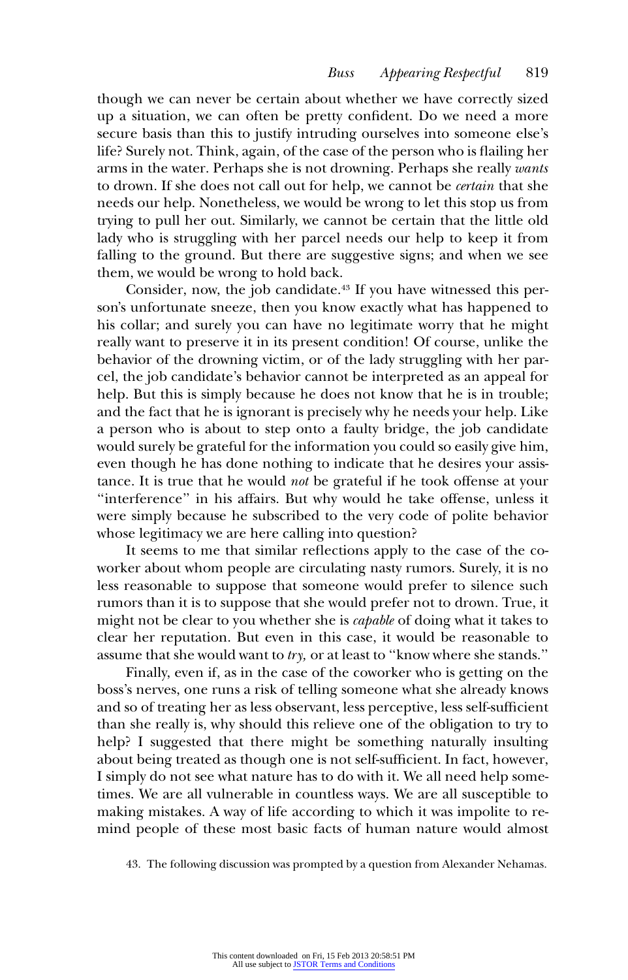though we can never be certain about whether we have correctly sized up a situation, we can often be pretty confident. Do we need a more secure basis than this to justify intruding ourselves into someone else's life? Surely not. Think, again, of the case of the person who is flailing her arms in the water. Perhaps she is not drowning. Perhaps she really *wants* to drown. If she does not call out for help, we cannot be *certain* that she needs our help. Nonetheless, we would be wrong to let this stop us from trying to pull her out. Similarly, we cannot be certain that the little old lady who is struggling with her parcel needs our help to keep it from falling to the ground. But there are suggestive signs; and when we see them, we would be wrong to hold back.

Consider, now, the job candidate.<sup>43</sup> If you have witnessed this person's unfortunate sneeze, then you know exactly what has happened to his collar; and surely you can have no legitimate worry that he might really want to preserve it in its present condition! Of course, unlike the behavior of the drowning victim, or of the lady struggling with her parcel, the job candidate's behavior cannot be interpreted as an appeal for help. But this is simply because he does not know that he is in trouble; and the fact that he is ignorant is precisely why he needs your help. Like a person who is about to step onto a faulty bridge, the job candidate would surely be grateful for the information you could so easily give him, even though he has done nothing to indicate that he desires your assistance. It is true that he would *not* be grateful if he took offense at your ''interference'' in his affairs. But why would he take offense, unless it were simply because he subscribed to the very code of polite behavior whose legitimacy we are here calling into question?

It seems to me that similar reflections apply to the case of the coworker about whom people are circulating nasty rumors. Surely, it is no less reasonable to suppose that someone would prefer to silence such rumors than it is to suppose that she would prefer not to drown. True, it might not be clear to you whether she is *capable* of doing what it takes to clear her reputation. But even in this case, it would be reasonable to assume that she would want to *try,* or at least to ''know where she stands.''

Finally, even if, as in the case of the coworker who is getting on the boss's nerves, one runs a risk of telling someone what she already knows and so of treating her as less observant, less perceptive, less self-sufficient than she really is, why should this relieve one of the obligation to try to help? I suggested that there might be something naturally insulting about being treated as though one is not self-sufficient. In fact, however, I simply do not see what nature has to do with it. We all need help sometimes. We are all vulnerable in countless ways. We are all susceptible to making mistakes. A way of life according to which it was impolite to remind people of these most basic facts of human nature would almost

43. The following discussion was prompted by a question from Alexander Nehamas.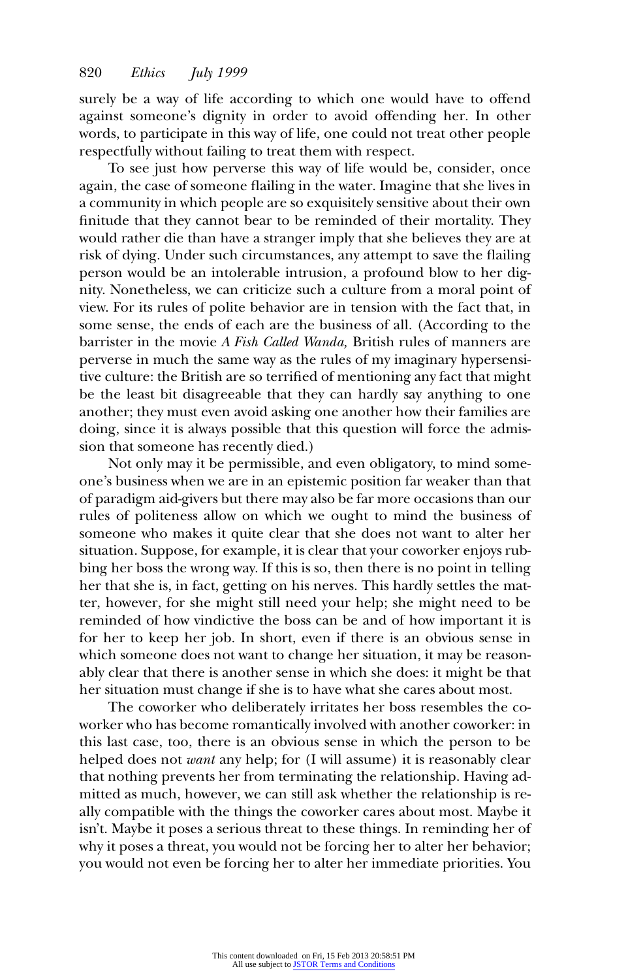surely be a way of life according to which one would have to offend against someone's dignity in order to avoid offending her. In other words, to participate in this way of life, one could not treat other people respectfully without failing to treat them with respect.

To see just how perverse this way of life would be, consider, once again, the case of someone flailing in the water. Imagine that she lives in a community in which people are so exquisitely sensitive about their own finitude that they cannot bear to be reminded of their mortality. They would rather die than have a stranger imply that she believes they are at risk of dying. Under such circumstances, any attempt to save the flailing person would be an intolerable intrusion, a profound blow to her dignity. Nonetheless, we can criticize such a culture from a moral point of view. For its rules of polite behavior are in tension with the fact that, in some sense, the ends of each are the business of all. (According to the barrister in the movie *A Fish Called Wanda,* British rules of manners are perverse in much the same way as the rules of my imaginary hypersensitive culture: the British are so terrified of mentioning any fact that might be the least bit disagreeable that they can hardly say anything to one another; they must even avoid asking one another how their families are doing, since it is always possible that this question will force the admission that someone has recently died.)

Not only may it be permissible, and even obligatory, to mind someone's business when we are in an epistemic position far weaker than that of paradigm aid-givers but there may also be far more occasions than our rules of politeness allow on which we ought to mind the business of someone who makes it quite clear that she does not want to alter her situation. Suppose, for example, it is clear that your coworker enjoys rubbing her boss the wrong way. If this is so, then there is no point in telling her that she is, in fact, getting on his nerves. This hardly settles the matter, however, for she might still need your help; she might need to be reminded of how vindictive the boss can be and of how important it is for her to keep her job. In short, even if there is an obvious sense in which someone does not want to change her situation, it may be reasonably clear that there is another sense in which she does: it might be that her situation must change if she is to have what she cares about most.

The coworker who deliberately irritates her boss resembles the coworker who has become romantically involved with another coworker: in this last case, too, there is an obvious sense in which the person to be helped does not *want* any help; for (I will assume) it is reasonably clear that nothing prevents her from terminating the relationship. Having admitted as much, however, we can still ask whether the relationship is really compatible with the things the coworker cares about most. Maybe it isn't. Maybe it poses a serious threat to these things. In reminding her of why it poses a threat, you would not be forcing her to alter her behavior; you would not even be forcing her to alter her immediate priorities. You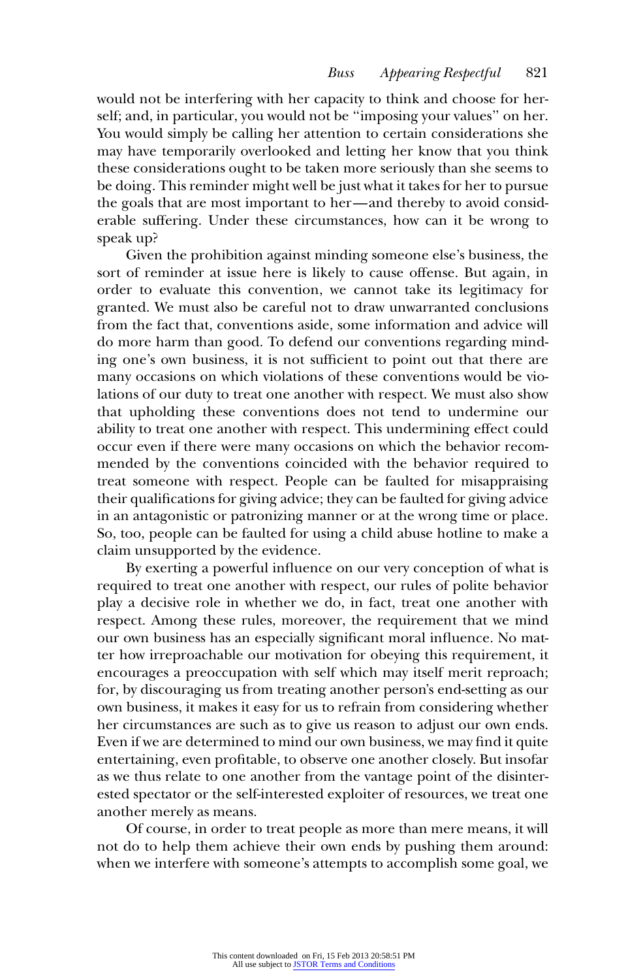would not be interfering with her capacity to think and choose for herself; and, in particular, you would not be ''imposing your values'' on her. You would simply be calling her attention to certain considerations she may have temporarily overlooked and letting her know that you think these considerations ought to be taken more seriously than she seems to be doing. This reminder might well be just what it takes for her to pursue the goals that are most important to her—and thereby to avoid considerable suffering. Under these circumstances, how can it be wrong to speak up?

Given the prohibition against minding someone else's business, the sort of reminder at issue here is likely to cause offense. But again, in order to evaluate this convention, we cannot take its legitimacy for granted. We must also be careful not to draw unwarranted conclusions from the fact that, conventions aside, some information and advice will do more harm than good. To defend our conventions regarding minding one's own business, it is not sufficient to point out that there are many occasions on which violations of these conventions would be violations of our duty to treat one another with respect. We must also show that upholding these conventions does not tend to undermine our ability to treat one another with respect. This undermining effect could occur even if there were many occasions on which the behavior recommended by the conventions coincided with the behavior required to treat someone with respect. People can be faulted for misappraising their qualifications for giving advice; they can be faulted for giving advice in an antagonistic or patronizing manner or at the wrong time or place. So, too, people can be faulted for using a child abuse hotline to make a claim unsupported by the evidence.

By exerting a powerful influence on our very conception of what is required to treat one another with respect, our rules of polite behavior play a decisive role in whether we do, in fact, treat one another with respect. Among these rules, moreover, the requirement that we mind our own business has an especially significant moral influence. No matter how irreproachable our motivation for obeying this requirement, it encourages a preoccupation with self which may itself merit reproach; for, by discouraging us from treating another person's end-setting as our own business, it makes it easy for us to refrain from considering whether her circumstances are such as to give us reason to adjust our own ends. Even if we are determined to mind our own business, we may find it quite entertaining, even profitable, to observe one another closely. But insofar as we thus relate to one another from the vantage point of the disinterested spectator or the self-interested exploiter of resources, we treat one another merely as means.

Of course, in order to treat people as more than mere means, it will not do to help them achieve their own ends by pushing them around: when we interfere with someone's attempts to accomplish some goal, we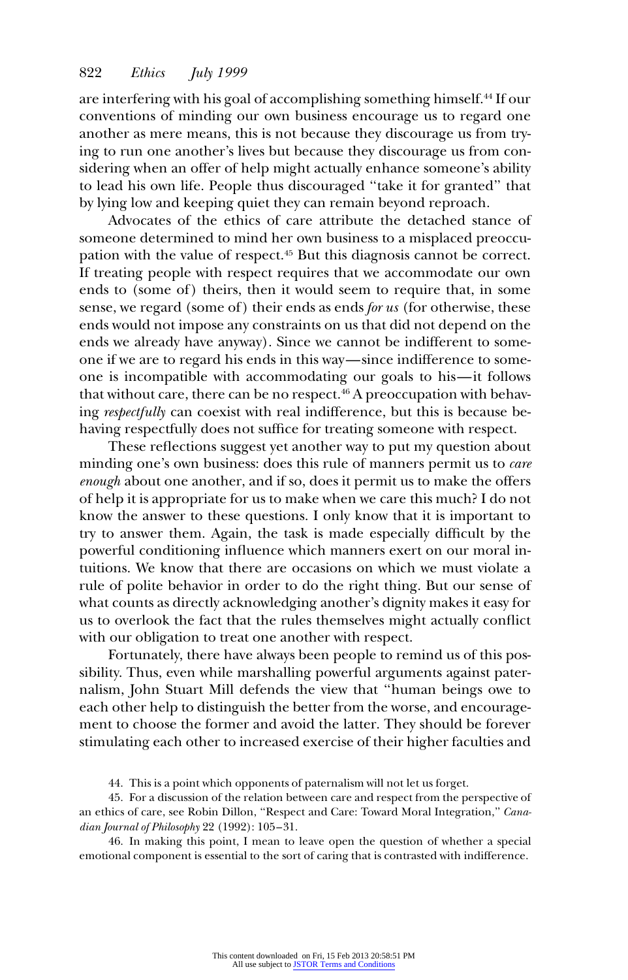are interfering with his goal of accomplishing something himself.<sup>44</sup> If our conventions of minding our own business encourage us to regard one another as mere means, this is not because they discourage us from trying to run one another's lives but because they discourage us from considering when an offer of help might actually enhance someone's ability to lead his own life. People thus discouraged ''take it for granted'' that by lying low and keeping quiet they can remain beyond reproach.

Advocates of the ethics of care attribute the detached stance of someone determined to mind her own business to a misplaced preoccupation with the value of respect.<sup>45</sup> But this diagnosis cannot be correct. If treating people with respect requires that we accommodate our own ends to (some of) theirs, then it would seem to require that, in some sense, we regard (some of) their ends as ends*for us* (for otherwise, these ends would not impose any constraints on us that did not depend on the ends we already have anyway). Since we cannot be indifferent to someone if we are to regard his ends in this way—since indifference to someone is incompatible with accommodating our goals to his—it follows that without care, there can be no respect.<sup>46</sup> A preoccupation with behaving *respectfully* can coexist with real indifference, but this is because behaving respectfully does not suffice for treating someone with respect.

These reflections suggest yet another way to put my question about minding one's own business: does this rule of manners permit us to *care enough* about one another, and if so, does it permit us to make the offers of help it is appropriate for us to make when we care this much? I do not know the answer to these questions. I only know that it is important to try to answer them. Again, the task is made especially difficult by the powerful conditioning influence which manners exert on our moral intuitions. We know that there are occasions on which we must violate a rule of polite behavior in order to do the right thing. But our sense of what counts as directly acknowledging another's dignity makes it easy for us to overlook the fact that the rules themselves might actually conflict with our obligation to treat one another with respect.

Fortunately, there have always been people to remind us of this possibility. Thus, even while marshalling powerful arguments against paternalism, John Stuart Mill defends the view that ''human beings owe to each other help to distinguish the better from the worse, and encouragement to choose the former and avoid the latter. They should be forever stimulating each other to increased exercise of their higher faculties and

44. This is a point which opponents of paternalism will not let us forget.

45. For a discussion of the relation between care and respect from the perspective of an ethics of care, see Robin Dillon, ''Respect and Care: Toward Moral Integration,'' *Canadian Journal of Philosophy* 22 (1992): 105–31.

46. In making this point, I mean to leave open the question of whether a special emotional component is essential to the sort of caring that is contrasted with indifference.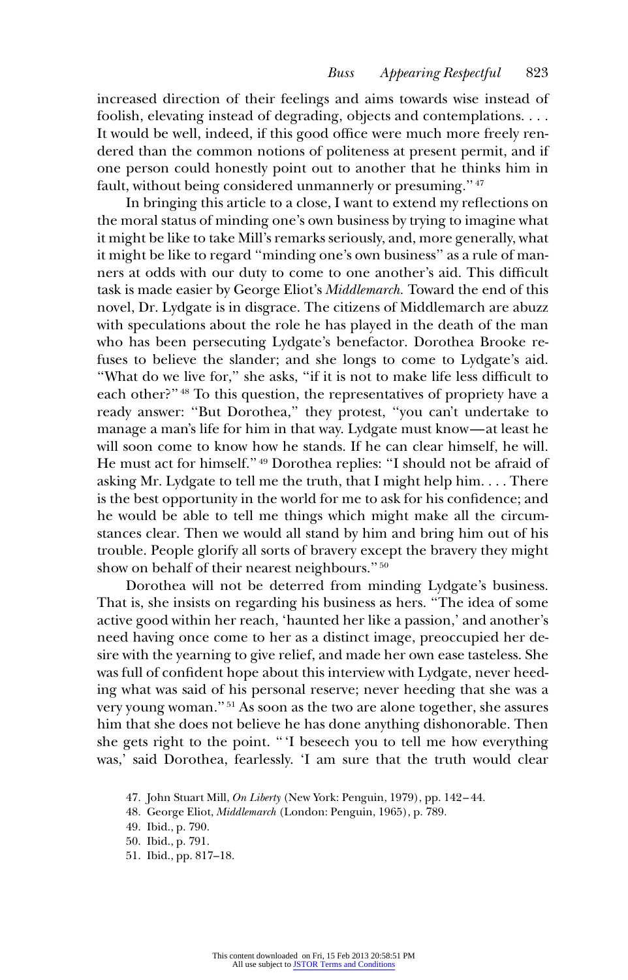increased direction of their feelings and aims towards wise instead of foolish, elevating instead of degrading, objects and contemplations.... It would be well, indeed, if this good office were much more freely rendered than the common notions of politeness at present permit, and if one person could honestly point out to another that he thinks him in fault, without being considered unmannerly or presuming.'' <sup>47</sup>

In bringing this article to a close, I want to extend my reflections on the moral status of minding one's own business by trying to imagine what it might be like to take Mill's remarks seriously, and, more generally, what it might be like to regard ''minding one's own business'' as a rule of manners at odds with our duty to come to one another's aid. This difficult task is made easier by George Eliot's *Middlemarch.* Toward the end of this novel, Dr. Lydgate is in disgrace. The citizens of Middlemarch are abuzz with speculations about the role he has played in the death of the man who has been persecuting Lydgate's benefactor. Dorothea Brooke refuses to believe the slander; and she longs to come to Lydgate's aid. ''What do we live for,'' she asks, ''if it is not to make life less difficult to each other?'' <sup>48</sup> To this question, the representatives of propriety have a ready answer: ''But Dorothea,'' they protest, ''you can't undertake to manage a man's life for him in that way. Lydgate must know—at least he will soon come to know how he stands. If he can clear himself, he will. He must act for himself.'' <sup>49</sup> Dorothea replies: ''I should not be afraid of asking Mr. Lydgate to tell me the truth, that I might help him. . . . There is the best opportunity in the world for me to ask for his confidence; and he would be able to tell me things which might make all the circumstances clear. Then we would all stand by him and bring him out of his trouble. People glorify all sorts of bravery except the bravery they might show on behalf of their nearest neighbours.'' <sup>50</sup>

Dorothea will not be deterred from minding Lydgate's business. That is, she insists on regarding his business as hers. ''The idea of some active good within her reach, 'haunted her like a passion,' and another's need having once come to her as a distinct image, preoccupied her desire with the yearning to give relief, and made her own ease tasteless. She was full of confident hope about this interview with Lydgate, never heeding what was said of his personal reserve; never heeding that she was a very young woman.'' <sup>51</sup> As soon as the two are alone together, she assures him that she does not believe he has done anything dishonorable. Then she gets right to the point. '''I beseech you to tell me how everything was,' said Dorothea, fearlessly. 'I am sure that the truth would clear

<sup>47.</sup> John Stuart Mill, *On Liberty* (New York: Penguin, 1979), pp. 142– 44.

<sup>48.</sup> George Eliot, *Middlemarch* (London: Penguin, 1965), p. 789.

<sup>49.</sup> Ibid., p. 790.

<sup>50.</sup> Ibid., p. 791.

<sup>51.</sup> Ibid., pp. 817–18.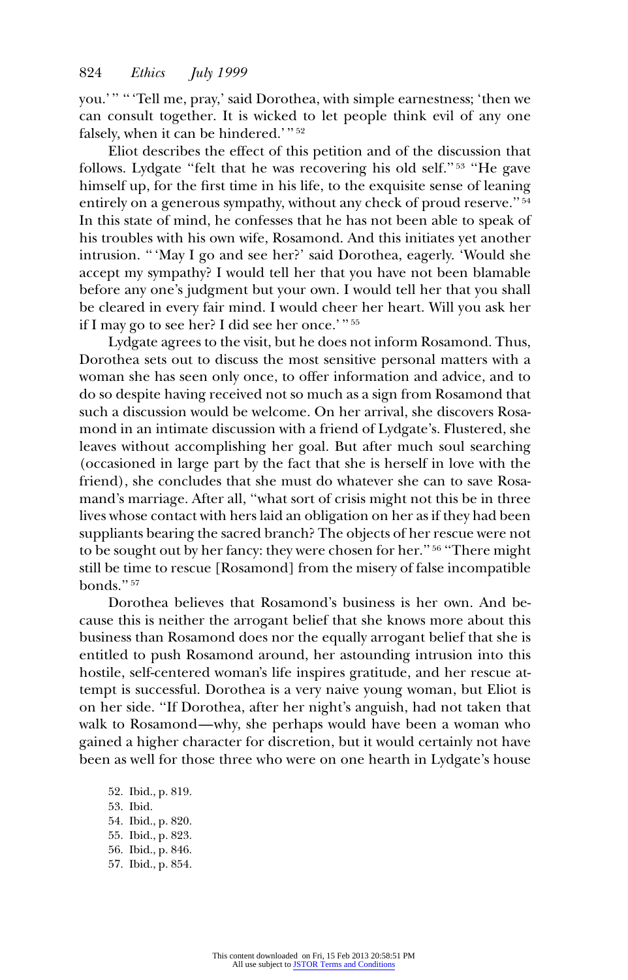you.''' '''Tell me, pray,' said Dorothea, with simple earnestness; 'then we can consult together. It is wicked to let people think evil of any one falsely, when it can be hindered.'"<sup>52</sup>

Eliot describes the effect of this petition and of the discussion that follows. Lydgate "felt that he was recovering his old self."<sup>53</sup> "He gave himself up, for the first time in his life, to the exquisite sense of leaning entirely on a generous sympathy, without any check of proud reserve."<sup>54</sup> In this state of mind, he confesses that he has not been able to speak of his troubles with his own wife, Rosamond. And this initiates yet another intrusion. '''May I go and see her?' said Dorothea, eagerly. 'Would she accept my sympathy? I would tell her that you have not been blamable before any one's judgment but your own. I would tell her that you shall be cleared in every fair mind. I would cheer her heart. Will you ask her if I may go to see her? I did see her once.''' <sup>55</sup>

Lydgate agrees to the visit, but he does not inform Rosamond. Thus, Dorothea sets out to discuss the most sensitive personal matters with a woman she has seen only once, to offer information and advice, and to do so despite having received not so much as a sign from Rosamond that such a discussion would be welcome. On her arrival, she discovers Rosamond in an intimate discussion with a friend of Lydgate's. Flustered, she leaves without accomplishing her goal. But after much soul searching (occasioned in large part by the fact that she is herself in love with the friend), she concludes that she must do whatever she can to save Rosamand's marriage. After all, ''what sort of crisis might not this be in three lives whose contact with hers laid an obligation on her as if they had been suppliants bearing the sacred branch? The objects of her rescue were not to be sought out by her fancy: they were chosen for her.'' <sup>56</sup> ''There might still be time to rescue [Rosamond] from the misery of false incompatible bonds.'' <sup>57</sup>

Dorothea believes that Rosamond's business is her own. And because this is neither the arrogant belief that she knows more about this business than Rosamond does nor the equally arrogant belief that she is entitled to push Rosamond around, her astounding intrusion into this hostile, self-centered woman's life inspires gratitude, and her rescue attempt is successful. Dorothea is a very naive young woman, but Eliot is on her side. ''If Dorothea, after her night's anguish, had not taken that walk to Rosamond—why, she perhaps would have been a woman who gained a higher character for discretion, but it would certainly not have been as well for those three who were on one hearth in Lydgate's house

52. Ibid., p. 819. 53. Ibid. 54. Ibid., p. 820. 55. Ibid., p. 823. 56. Ibid., p. 846. 57. Ibid., p. 854.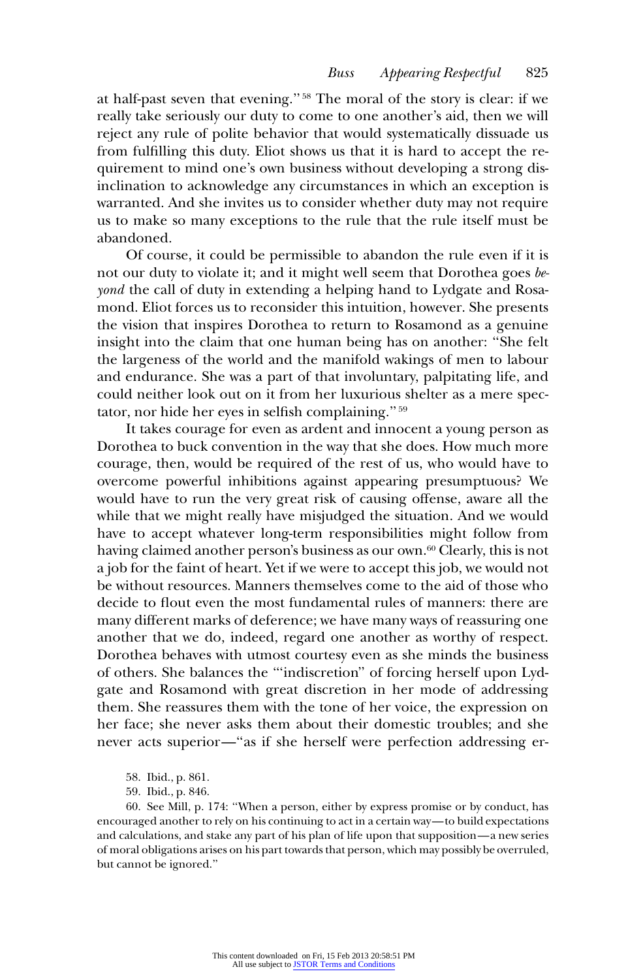at half-past seven that evening.'' <sup>58</sup> The moral of the story is clear: if we really take seriously our duty to come to one another's aid, then we will reject any rule of polite behavior that would systematically dissuade us from fulfilling this duty. Eliot shows us that it is hard to accept the requirement to mind one's own business without developing a strong disinclination to acknowledge any circumstances in which an exception is warranted. And she invites us to consider whether duty may not require us to make so many exceptions to the rule that the rule itself must be abandoned.

Of course, it could be permissible to abandon the rule even if it is not our duty to violate it; and it might well seem that Dorothea goes *beyond* the call of duty in extending a helping hand to Lydgate and Rosamond. Eliot forces us to reconsider this intuition, however. She presents the vision that inspires Dorothea to return to Rosamond as a genuine insight into the claim that one human being has on another: ''She felt the largeness of the world and the manifold wakings of men to labour and endurance. She was a part of that involuntary, palpitating life, and could neither look out on it from her luxurious shelter as a mere spectator, nor hide her eyes in selfish complaining.'' <sup>59</sup>

It takes courage for even as ardent and innocent a young person as Dorothea to buck convention in the way that she does. How much more courage, then, would be required of the rest of us, who would have to overcome powerful inhibitions against appearing presumptuous? We would have to run the very great risk of causing offense, aware all the while that we might really have misjudged the situation. And we would have to accept whatever long-term responsibilities might follow from having claimed another person's business as our own.<sup>60</sup> Clearly, this is not a job for the faint of heart. Yet if we were to accept this job, we would not be without resources. Manners themselves come to the aid of those who decide to flout even the most fundamental rules of manners: there are many different marks of deference; we have many ways of reassuring one another that we do, indeed, regard one another as worthy of respect. Dorothea behaves with utmost courtesy even as she minds the business of others. She balances the '''indiscretion'' of forcing herself upon Lydgate and Rosamond with great discretion in her mode of addressing them. She reassures them with the tone of her voice, the expression on her face; she never asks them about their domestic troubles; and she never acts superior—''as if she herself were perfection addressing er-

- 58. Ibid., p. 861.
- 59. Ibid., p. 846.

60. See Mill, p. 174: ''When a person, either by express promise or by conduct, has encouraged another to rely on his continuing to act in a certain way—to build expectations and calculations, and stake any part of his plan of life upon that supposition—a new series of moral obligations arises on his part towards that person, which may possibly be overruled, but cannot be ignored.''